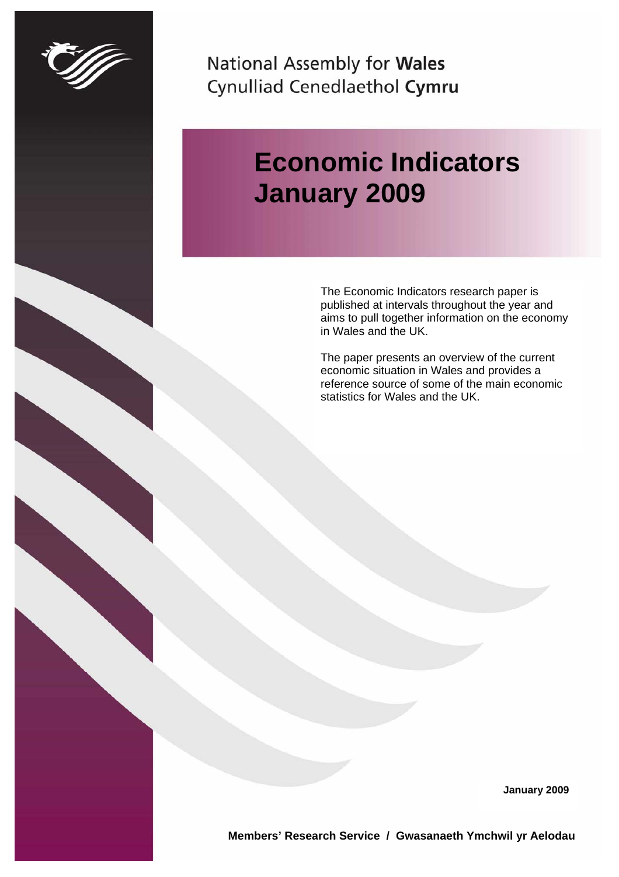<span id="page-0-0"></span>

National Assembly for Wales Cynulliad Cenedlaethol Cymru

# **Economic Indicators January 2009**

The Economic Indicators research paper is published at intervals throughout the year and aims to pull together information on the economy in Wales and the UK.

The paper presents an overview of the current economic situation in Wales and provides a reference source of some of the main economic statistics for Wales and the UK.

**January 2009** 

**Members' Research Service / Gwasanaeth Ymchwil yr Aelodau**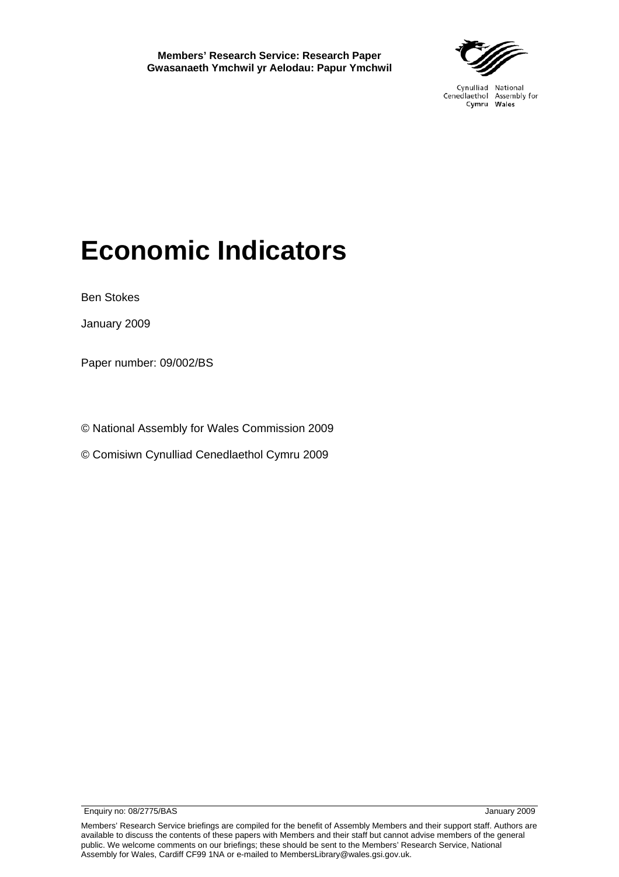

Cynulliad National Cenedlaethol Assembly for Cymru Wales

# **Economic Indicators**

Ben Stokes

January 2009

Paper number: 09/002/BS

© National Assembly for Wales Commission 2009

© Comisiwn Cynulliad Cenedlaethol Cymru 2009

Members' Research Service briefings are compiled for the benefit of Assembly Members and their support staff. Authors are available to discuss the contents of these papers with Members and their staff but cannot advise members of the general public. We welcome comments on our briefings; these should be sent to the Members' Research Service, National Assembly for Wales, Cardiff CF99 1NA or e-mailed to MembersLibrary@wales.gsi.gov.uk.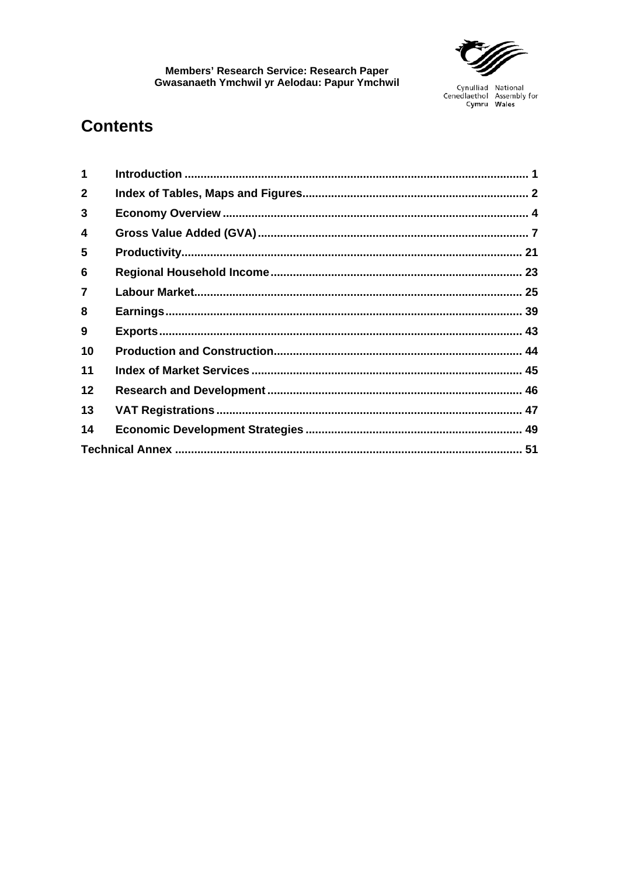

## **Contents**

| 1                |  |
|------------------|--|
| $\mathbf{2}$     |  |
| 3                |  |
| 4                |  |
| 5                |  |
| 6                |  |
| $\overline{7}$   |  |
| 8                |  |
| $\boldsymbol{9}$ |  |
| 10               |  |
| 11               |  |
| $12 \,$          |  |
| 13               |  |
| 14               |  |
|                  |  |
|                  |  |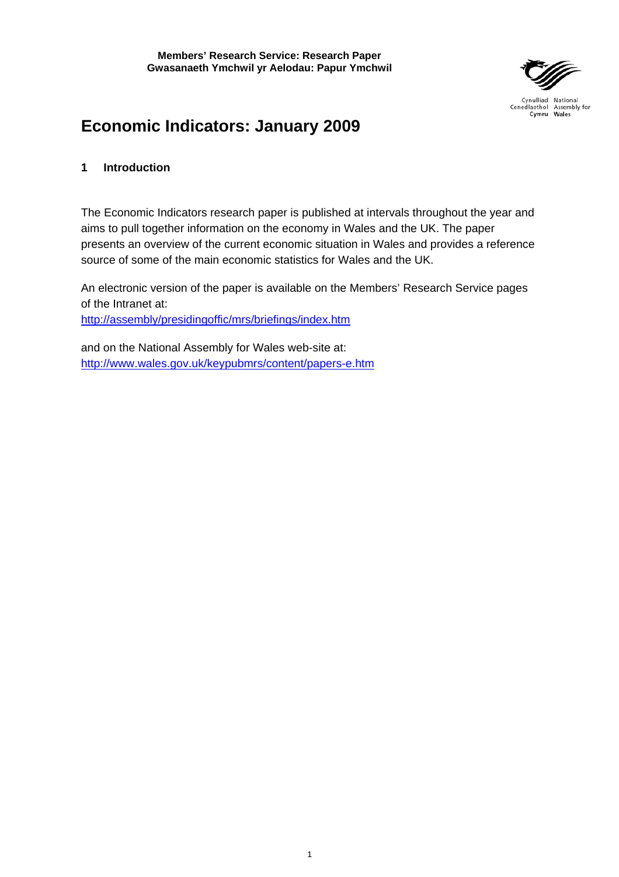

## <span id="page-6-0"></span>**Economic Indicators: January 2009**

## **1 Introduction**

The Economic Indicators research paper is published at intervals throughout the year and aims to pull together information on the economy in Wales and the UK. The paper presents an overview of the current economic situation in Wales and provides a reference source of some of the main economic statistics for Wales and the UK.

An electronic version of the paper is available on the Members' Research Service pages of the Intranet at:

<http://assembly/presidingoffic/mrs/briefings/index.htm>

and on the National Assembly for Wales web-site at: <http://www.wales.gov.uk/keypubmrs/content/papers-e.htm>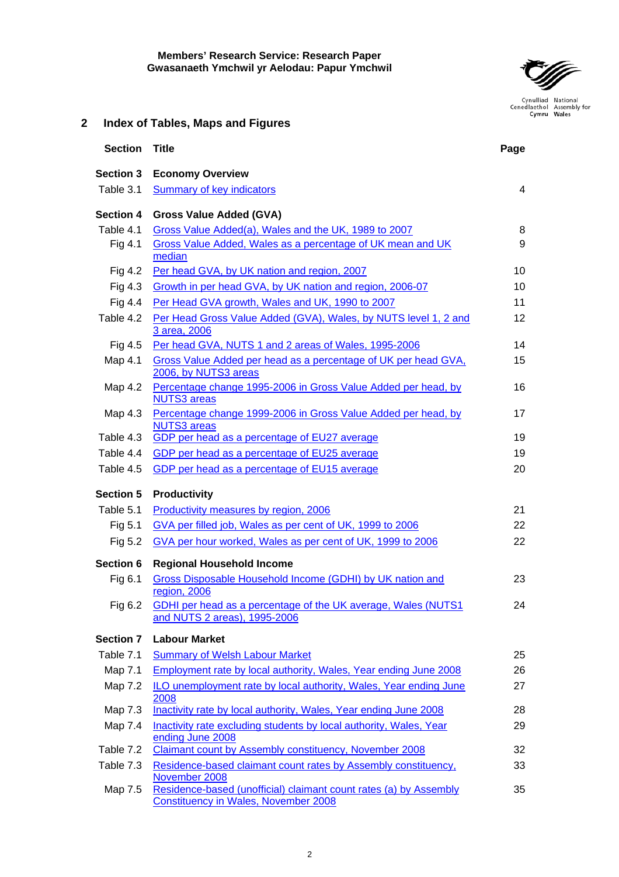

## <span id="page-7-0"></span>**2 Index of Tables, Maps and Figures**

| <b>Section</b>   | <b>Title</b>                                                                                                     | Page |
|------------------|------------------------------------------------------------------------------------------------------------------|------|
| <b>Section 3</b> | <b>Economy Overview</b>                                                                                          |      |
| Table 3.1        | Summary of key indicators                                                                                        | 4    |
| <b>Section 4</b> | <b>Gross Value Added (GVA)</b>                                                                                   |      |
| Table 4.1        | Gross Value Added(a), Wales and the UK, 1989 to 2007                                                             | 8    |
| Fig 4.1          | Gross Value Added, Wales as a percentage of UK mean and UK<br>median                                             | 9    |
| Fig 4.2          | Per head GVA, by UK nation and region, 2007                                                                      | 10   |
| Fig 4.3          | Growth in per head GVA, by UK nation and region, 2006-07                                                         | 10   |
| Fig 4.4          | Per Head GVA growth, Wales and UK, 1990 to 2007                                                                  | 11   |
| Table 4.2        | Per Head Gross Value Added (GVA), Wales, by NUTS level 1, 2 and<br>3 area, 2006                                  | 12   |
| Fig 4.5          | Per head GVA, NUTS 1 and 2 areas of Wales, 1995-2006                                                             | 14   |
| Map 4.1          | Gross Value Added per head as a percentage of UK per head GVA,<br>2006, by NUTS3 areas                           | 15   |
| Map 4.2          | Percentage change 1995-2006 in Gross Value Added per head, by<br><b>NUTS3</b> areas                              | 16   |
| Map 4.3          | Percentage change 1999-2006 in Gross Value Added per head, by<br><b>NUTS3</b> areas                              | 17   |
| Table 4.3        | GDP per head as a percentage of EU27 average                                                                     | 19   |
| Table 4.4        | GDP per head as a percentage of EU25 average                                                                     | 19   |
| Table 4.5        | GDP per head as a percentage of EU15 average                                                                     | 20   |
| <b>Section 5</b> | <b>Productivity</b>                                                                                              |      |
| Table 5.1        | Productivity measures by region, 2006                                                                            | 21   |
| Fig 5.1          | GVA per filled job, Wales as per cent of UK, 1999 to 2006                                                        | 22   |
| Fig 5.2          | GVA per hour worked, Wales as per cent of UK, 1999 to 2006                                                       | 22   |
| Section 6        | <b>Regional Household Income</b>                                                                                 |      |
| Fig 6.1          | Gross Disposable Household Income (GDHI) by UK nation and<br>region, 2006                                        | 23   |
| Fig 6.2          | GDHI per head as a percentage of the UK average, Wales (NUTS1                                                    | 24   |
|                  | and NUTS 2 areas), 1995-2006                                                                                     |      |
| <b>Section 7</b> | <b>Labour Market</b>                                                                                             |      |
| Table 7.1        | <b>Summary of Welsh Labour Market</b>                                                                            | 25   |
| Map 7.1          | Employment rate by local authority, Wales, Year ending June 2008                                                 | 26   |
| Map 7.2          | ILO unemployment rate by local authority, Wales, Year ending June<br>2008                                        | 27   |
| Map 7.3          | Inactivity rate by local authority, Wales, Year ending June 2008                                                 | 28   |
| Map 7.4          | Inactivity rate excluding students by local authority, Wales, Year<br>ending June 2008                           | 29   |
| Table 7.2        | Claimant count by Assembly constituency, November 2008                                                           | 32   |
| Table 7.3        | Residence-based claimant count rates by Assembly constituency,<br>November 2008                                  | 33   |
| Map 7.5          | Residence-based (unofficial) claimant count rates (a) by Assembly<br><b>Constituency in Wales, November 2008</b> | 35   |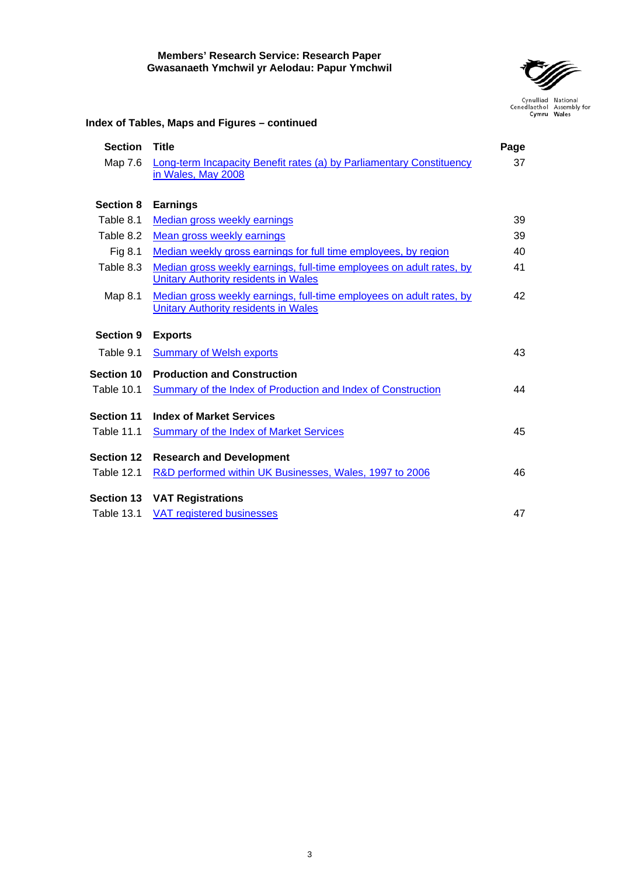

## **Index of Tables, Maps and Figures – continued**

| <b>Section</b>    | <b>Title</b>                                                         | Page |
|-------------------|----------------------------------------------------------------------|------|
| Map 7.6           | Long-term Incapacity Benefit rates (a) by Parliamentary Constituency | 37   |
|                   | in Wales, May 2008                                                   |      |
|                   |                                                                      |      |
| <b>Section 8</b>  | <b>Earnings</b>                                                      |      |
| Table 8.1         | <b>Median gross weekly earnings</b>                                  | 39   |
| Table 8.2         | Mean gross weekly earnings                                           | 39   |
| Fig 8.1           | Median weekly gross earnings for full time employees, by region      | 40   |
| Table 8.3         | Median gross weekly earnings, full-time employees on adult rates, by | 41   |
|                   | <b>Unitary Authority residents in Wales</b>                          |      |
| Map 8.1           | Median gross weekly earnings, full-time employees on adult rates, by | 42   |
|                   | <b>Unitary Authority residents in Wales</b>                          |      |
| <b>Section 9</b>  | <b>Exports</b>                                                       |      |
| Table 9.1         | <b>Summary of Welsh exports</b>                                      | 43   |
| <b>Section 10</b> | <b>Production and Construction</b>                                   |      |
| Table 10.1        | <b>Summary of the Index of Production and Index of Construction</b>  | 44   |
|                   |                                                                      |      |
| <b>Section 11</b> | <b>Index of Market Services</b>                                      |      |
| <b>Table 11.1</b> | <b>Summary of the Index of Market Services</b>                       | 45   |
| <b>Section 12</b> | <b>Research and Development</b>                                      |      |
| <b>Table 12.1</b> | R&D performed within UK Businesses, Wales, 1997 to 2006              | 46   |
|                   | <b>Section 13 VAT Registrations</b>                                  |      |
| <b>Table 13.1</b> | <b>VAT registered businesses</b>                                     | 47   |
|                   |                                                                      |      |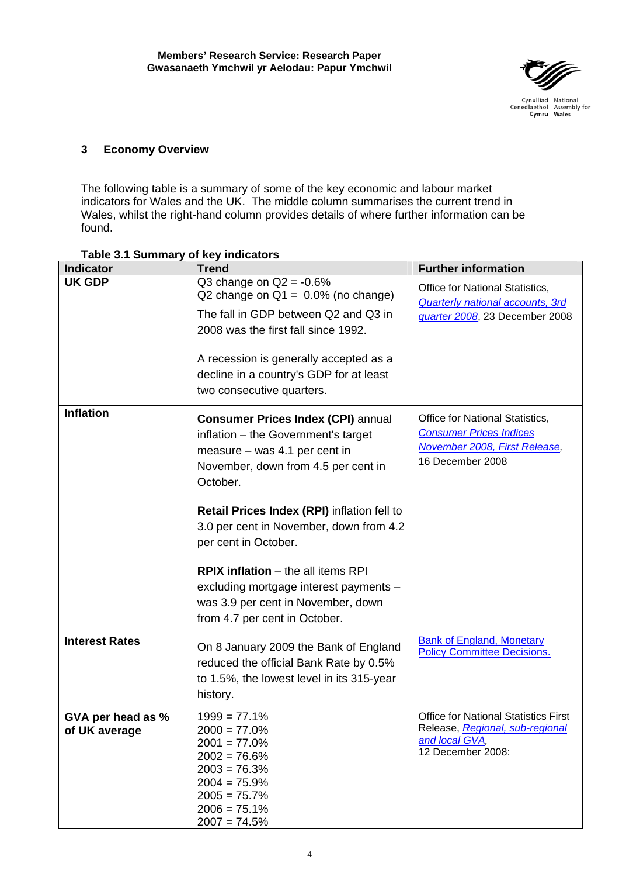

## <span id="page-9-0"></span>**3 Economy Overview**

The following table is a summary of some of the key economic and labour market indicators for Wales and the UK. The middle column summarises the current trend in Wales, whilst the right-hand column provides details of where further information can be found.

| <b>Indicator</b>                   | <b>Trend</b>                                                                                                                                                                                                                                                         | <b>Further information</b>                                                                                             |
|------------------------------------|----------------------------------------------------------------------------------------------------------------------------------------------------------------------------------------------------------------------------------------------------------------------|------------------------------------------------------------------------------------------------------------------------|
| <b>UK GDP</b>                      | Q3 change on $Q2 = -0.6\%$<br>Q2 change on $Q1 = 0.0\%$ (no change)<br>The fall in GDP between Q2 and Q3 in<br>2008 was the first fall since 1992.<br>A recession is generally accepted as a<br>decline in a country's GDP for at least<br>two consecutive quarters. | Office for National Statistics,<br><b>Quarterly national accounts, 3rd</b><br>quarter 2008, 23 December 2008           |
| <b>Inflation</b>                   | <b>Consumer Prices Index (CPI) annual</b><br>inflation - the Government's target<br>measure - was 4.1 per cent in<br>November, down from 4.5 per cent in<br>October.                                                                                                 | Office for National Statistics,<br><b>Consumer Prices Indices</b><br>November 2008, First Release,<br>16 December 2008 |
|                                    | Retail Prices Index (RPI) inflation fell to<br>3.0 per cent in November, down from 4.2<br>per cent in October.<br><b>RPIX inflation</b> $-$ the all items RPI                                                                                                        |                                                                                                                        |
|                                    | excluding mortgage interest payments -<br>was 3.9 per cent in November, down<br>from 4.7 per cent in October.                                                                                                                                                        |                                                                                                                        |
| <b>Interest Rates</b>              | On 8 January 2009 the Bank of England<br>reduced the official Bank Rate by 0.5%<br>to 1.5%, the lowest level in its 315-year<br>history.                                                                                                                             | <b>Bank of England, Monetary</b><br><b>Policy Committee Decisions.</b>                                                 |
| GVA per head as %<br>of UK average | $1999 = 77.1%$<br>$2000 = 77.0\%$<br>$2001 = 77.0\%$<br>$2002 = 76.6\%$<br>$2003 = 76.3\%$<br>$2004 = 75.9\%$<br>$2005 = 75.7\%$<br>$2006 = 75.1\%$<br>$2007 = 74.5\%$                                                                                               | <b>Office for National Statistics First</b><br>Release, Regional, sub-regional<br>and local GVA,<br>12 December 2008:  |

## **Table 3.1 Summary of key indicators**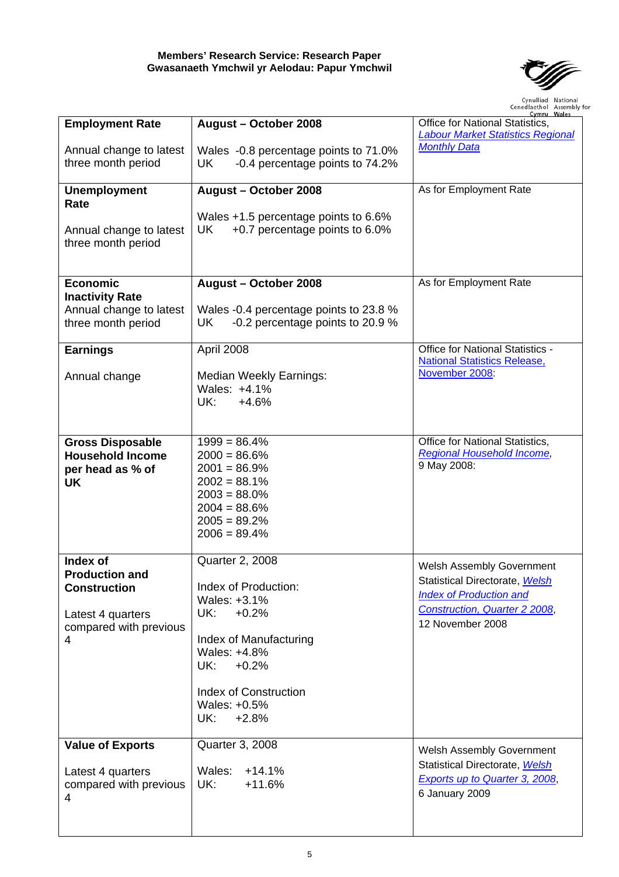

| <b>Employment Rate</b>                                                  | August - October 2008                                                            | Cymru vvales<br>Office for National Statistics,                         |
|-------------------------------------------------------------------------|----------------------------------------------------------------------------------|-------------------------------------------------------------------------|
| Annual change to latest                                                 | Wales -0.8 percentage points to 71.0%                                            | <b>Labour Market Statistics Regional</b><br><b>Monthly Data</b>         |
| three month period                                                      | -0.4 percentage points to 74.2%<br>UK                                            |                                                                         |
| <b>Unemployment</b><br>Rate                                             | August - October 2008                                                            | As for Employment Rate                                                  |
| Annual change to latest<br>three month period                           | Wales +1.5 percentage points to 6.6%<br>UK<br>+0.7 percentage points to 6.0%     |                                                                         |
| <b>Economic</b>                                                         | August - October 2008                                                            | As for Employment Rate                                                  |
| <b>Inactivity Rate</b><br>Annual change to latest<br>three month period | Wales -0.4 percentage points to 23.8 %<br>-0.2 percentage points to 20.9 %<br>UK |                                                                         |
| <b>Earnings</b>                                                         | April 2008                                                                       | Office for National Statistics -<br><b>National Statistics Release,</b> |
| Annual change                                                           | Median Weekly Earnings:<br>Wales: +4.1%<br>UK:<br>$+4.6%$                        | November 2008:                                                          |
|                                                                         | $1999 = 86.4%$                                                                   | Office for National Statistics,                                         |
| <b>Gross Disposable</b><br><b>Household Income</b>                      | $2000 = 86.6\%$                                                                  | Regional Household Income,                                              |
| per head as % of<br><b>UK</b>                                           | $2001 = 86.9\%$<br>$2002 = 88.1\%$                                               | 9 May 2008:                                                             |
|                                                                         | $2003 = 88.0\%$                                                                  |                                                                         |
|                                                                         | $2004 = 88.6\%$<br>$2005 = 89.2\%$                                               |                                                                         |
|                                                                         | $2006 = 89.4\%$                                                                  |                                                                         |
| Index of<br><b>Production and</b>                                       | <b>Quarter 2, 2008</b>                                                           | Welsh Assembly Government                                               |
| <b>Construction</b>                                                     | Index of Production:                                                             | Statistical Directorate, Welsh                                          |
|                                                                         | Wales: +3.1%<br>UK:<br>$+0.2%$                                                   | <b>Index of Production and</b><br><b>Construction, Quarter 2 2008,</b>  |
| Latest 4 quarters<br>compared with previous                             |                                                                                  | 12 November 2008                                                        |
| 4                                                                       | Index of Manufacturing<br>Wales: +4.8%                                           |                                                                         |
|                                                                         | UK:<br>$+0.2%$                                                                   |                                                                         |
|                                                                         | <b>Index of Construction</b>                                                     |                                                                         |
|                                                                         | Wales: +0.5%<br>UK:<br>$+2.8%$                                                   |                                                                         |
|                                                                         | Quarter 3, 2008                                                                  |                                                                         |
| <b>Value of Exports</b>                                                 |                                                                                  | Welsh Assembly Government<br>Statistical Directorate, Welsh             |
| Latest 4 quarters<br>compared with previous<br>4                        | Wales:<br>$+14.1%$<br>UK:<br>$+11.6%$                                            | Exports up to Quarter 3, 2008,<br>6 January 2009                        |
|                                                                         |                                                                                  |                                                                         |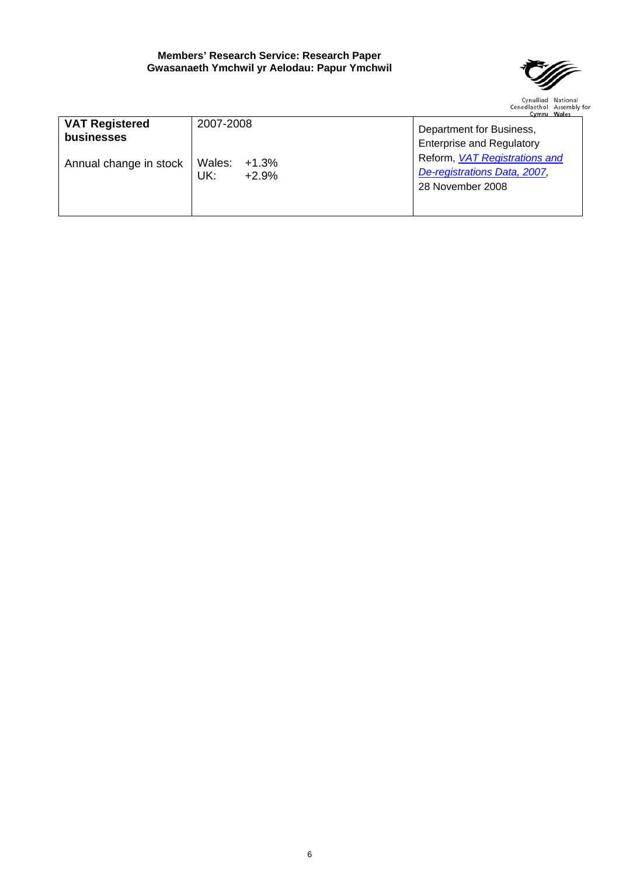

|                        |                 | Cymru Wales                      |  |  |  |  |
|------------------------|-----------------|----------------------------------|--|--|--|--|
| <b>VAT Registered</b>  | 2007-2008       | Department for Business,         |  |  |  |  |
| businesses             |                 | <b>Enterprise and Regulatory</b> |  |  |  |  |
| Annual change in stock | Wales: $+1.3\%$ | Reform, VAT Registrations and    |  |  |  |  |
|                        | UK:<br>$+2.9%$  | De-registrations Data, 2007,     |  |  |  |  |
|                        |                 | 28 November 2008                 |  |  |  |  |
|                        |                 |                                  |  |  |  |  |
|                        |                 |                                  |  |  |  |  |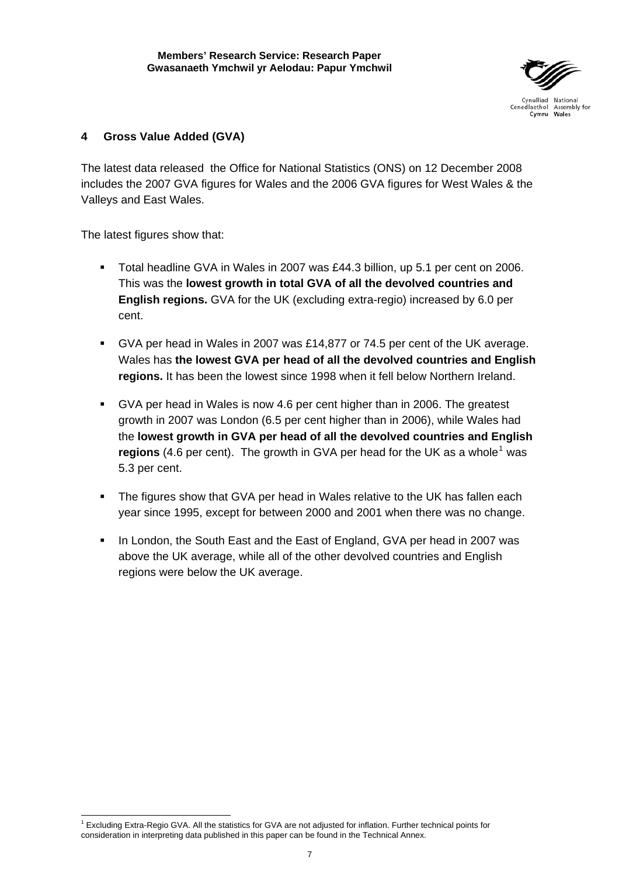

## <span id="page-12-0"></span>**4 Gross Value Added (GVA)**

The latest data released the Office for National Statistics (ONS) on 12 December 2008 includes the 2007 GVA figures for Wales and the 2006 GVA figures for West Wales & the Valleys and East Wales.

The latest figures show that:

- Total headline GVA in Wales in 2007 was £44.3 billion, up 5.1 per cent on 2006. This was the **lowest growth in total GVA of all the devolved countries and English regions.** GVA for the UK (excluding extra-regio) increased by 6.0 per cent.
- GVA per head in Wales in 2007 was £14,877 or 74.5 per cent of the UK average. Wales has **the lowest GVA per head of all the devolved countries and English regions.** It has been the lowest since 1998 when it fell below Northern Ireland.
- GVA per head in Wales is now 4.6 per cent higher than in 2006. The greatest growth in 2007 was London (6.5 per cent higher than in 2006), while Wales had the **lowest growth in GVA per head of all the devolved countries and English**  regions (4.6 per cent). The growth in GVA per head for the UK as a whole<sup>[1](#page-12-1)</sup> was 5.3 per cent.
- The figures show that GVA per head in Wales relative to the UK has fallen each year since 1995, except for between 2000 and 2001 when there was no change.
- In London, the South East and the East of England, GVA per head in 2007 was above the UK average, while all of the other devolved countries and English regions were below the UK average.

<span id="page-12-1"></span> $\overline{a}$ <sup>1</sup> Excluding Extra-Regio GVA. All the statistics for GVA are not adjusted for inflation. Further technical points for consideration in interpreting data published in this paper can be found in the Technical Annex.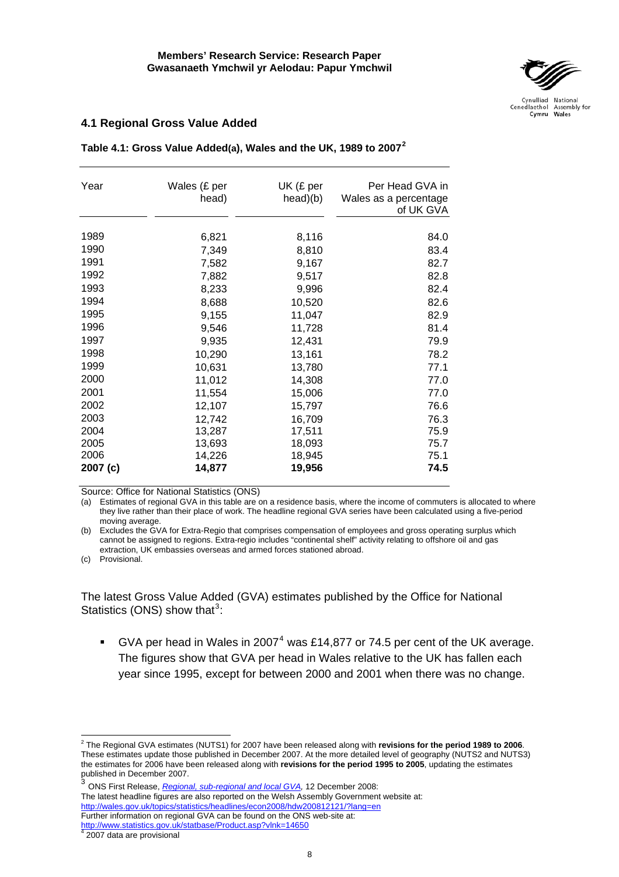

#### <span id="page-13-0"></span>**4.1 Regional Gross Value Added**

| Year     | Wales (£ per | UK (£ per | Per Head GVA in       |
|----------|--------------|-----------|-----------------------|
|          | head)        | head)(b)  | Wales as a percentage |
|          |              |           | of UK GVA             |
|          |              |           |                       |
| 1989     | 6,821        | 8,116     | 84.0                  |
| 1990     | 7,349        | 8,810     | 83.4                  |
| 1991     | 7,582        | 9,167     | 82.7                  |
| 1992     | 7,882        | 9,517     | 82.8                  |
| 1993     | 8,233        | 9,996     | 82.4                  |
| 1994     | 8,688        | 10,520    | 82.6                  |
| 1995     | 9,155        | 11,047    | 82.9                  |
| 1996     | 9,546        | 11,728    | 81.4                  |
| 1997     | 9,935        | 12,431    | 79.9                  |
| 1998     | 10,290       | 13,161    | 78.2                  |
| 1999     | 10,631       | 13,780    | 77.1                  |
| 2000     | 11,012       | 14,308    | 77.0                  |
| 2001     | 11,554       | 15,006    | 77.0                  |
| 2002     | 12,107       | 15,797    | 76.6                  |
| 2003     | 12,742       | 16,709    | 76.3                  |
| 2004     | 13,287       | 17,511    | 75.9                  |
| 2005     | 13,693       | 18,093    | 75.7                  |
| 2006     | 14,226       | 18,945    | 75.1                  |
| 2007 (c) | 14,877       | 19,956    | 74.5                  |

**Table 4.1: Gross Value Added(a), Wales and the UK, 1989 to 2007[2](#page-13-1)**

Source: Office for National Statistics (ONS)

(a) Estimates of regional GVA in this table are on a residence basis, where the income of commuters is allocated to where they live rather than their place of work. The headline regional GVA series have been calculated using a five-period moving average.

(b) Excludes the GVA for Extra-Regio that comprises compensation of employees and gross operating surplus which cannot be assigned to regions. Extra-regio includes "continental shelf" activity relating to offshore oil and gas extraction, UK embassies overseas and armed forces stationed abroad.

(c) Provisional.

The latest Gross Value Added (GVA) estimates published by the Office for National Statistics (ONS) show that $3$ :

GVA per head in Wales in 2007<sup>[4](#page-13-3)</sup> was £14,877 or 74.5 per cent of the UK average. The figures show that GVA per head in Wales relative to the UK has fallen each year since 1995, except for between 2000 and 2001 when there was no change.

- <span id="page-13-2"></span><sup>3</sup> ONS First Release, *[Regional, sub-regional and local GVA](http://www.statistics.gov.uk/pdfdir/gva1208.pdf),* 12 December 2008: The latest headline figures are also reported on the Welsh Assembly Government website at: <http://wales.gov.uk/topics/statistics/headlines/econ2008/hdw200812121/?lang=en> Further information on regional GVA can be found on the ONS web-site at:
- <span id="page-13-3"></span><u><http://www.statistics.gov.uk/statbase/Product.asp?vlnk=14650></u><br><sup>4</sup> 2007 data are provisional

<span id="page-13-1"></span><sup>2</sup> The Regional GVA estimates (NUTS1) for 2007 have been released along with **revisions for the period 1989 to 2006**. These estimates update those published in December 2007. At the more detailed level of geography (NUTS2 and NUTS3) the estimates for 2006 have been released along with **revisions for the period 1995 to 2005**, updating the estimates published in December 2007.<br> $\frac{3}{100}$  CM cm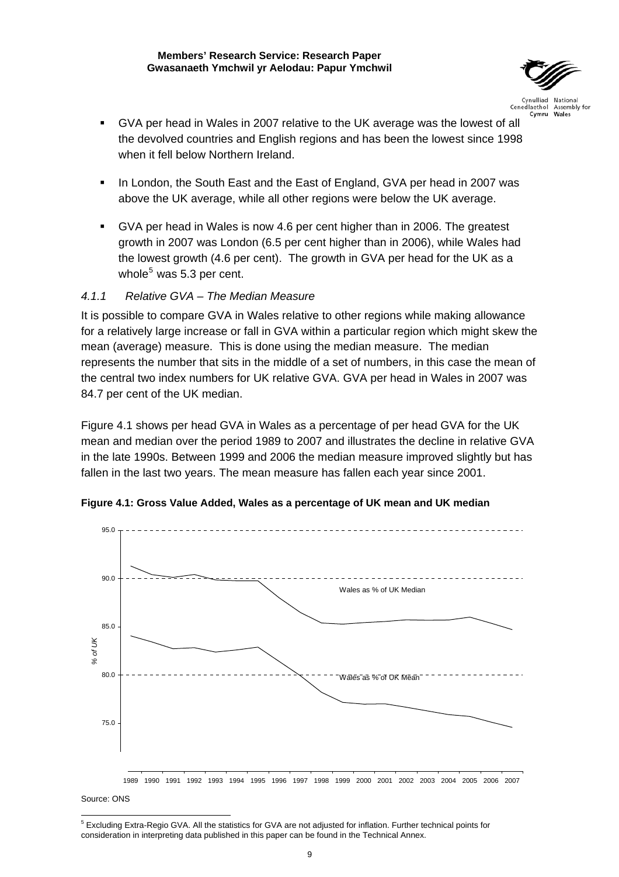

- <span id="page-14-0"></span> GVA per head in Wales in 2007 relative to the UK average was the lowest of all the devolved countries and English regions and has been the lowest since 1998 when it fell below Northern Ireland.
- In London, the South East and the East of England, GVA per head in 2007 was above the UK average, while all other regions were below the UK average.
- GVA per head in Wales is now 4.6 per cent higher than in 2006. The greatest growth in 2007 was London (6.5 per cent higher than in 2006), while Wales had the lowest growth (4.6 per cent). The growth in GVA per head for the UK as a whole<sup>[5](#page-14-1)</sup> was 5.3 per cent.

## *4.1.1 Relative GVA – The Median Measure*

It is possible to compare GVA in Wales relative to other regions while making allowance for a relatively large increase or fall in GVA within a particular region which might skew the mean (average) measure. This is done using the median measure. The median represents the number that sits in the middle of a set of numbers, in this case the mean of the central two index numbers for UK relative GVA. GVA per head in Wales in 2007 was 84.7 per cent of the UK median.

Figure 4.1 shows per head GVA in Wales as a percentage of per head GVA for the UK mean and median over the period 1989 to 2007 and illustrates the decline in relative GVA in the late 1990s. Between 1999 and 2006 the median measure improved slightly but has fallen in the last two years. The mean measure has fallen each year since 2001.



**Figure 4.1: Gross Value Added, Wales as a percentage of UK mean and UK median** 

Source: ONS

<span id="page-14-1"></span> 5 Excluding Extra-Regio GVA. All the statistics for GVA are not adjusted for inflation. Further technical points for consideration in interpreting data published in this paper can be found in the Technical Annex.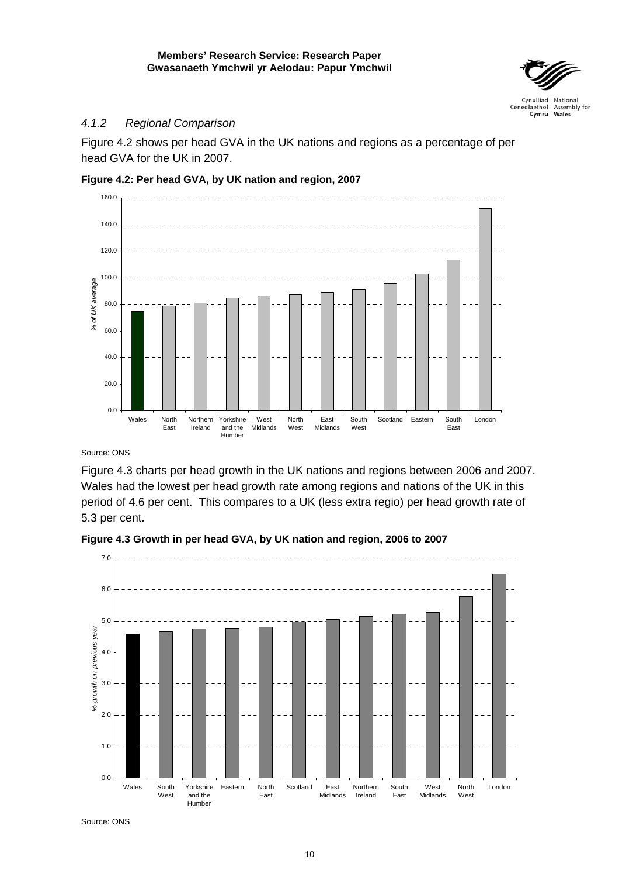

## <span id="page-15-0"></span>*4.1.2 Regional Comparison*

Figure 4.2 shows per head GVA in the UK nations and regions as a percentage of per head GVA for the UK in 2007.





Source: ONS

Figure 4.3 charts per head growth in the UK nations and regions between 2006 and 2007. Wales had the lowest per head growth rate among regions and nations of the UK in this period of 4.6 per cent. This compares to a UK (less extra regio) per head growth rate of 5.3 per cent.





Source: ONS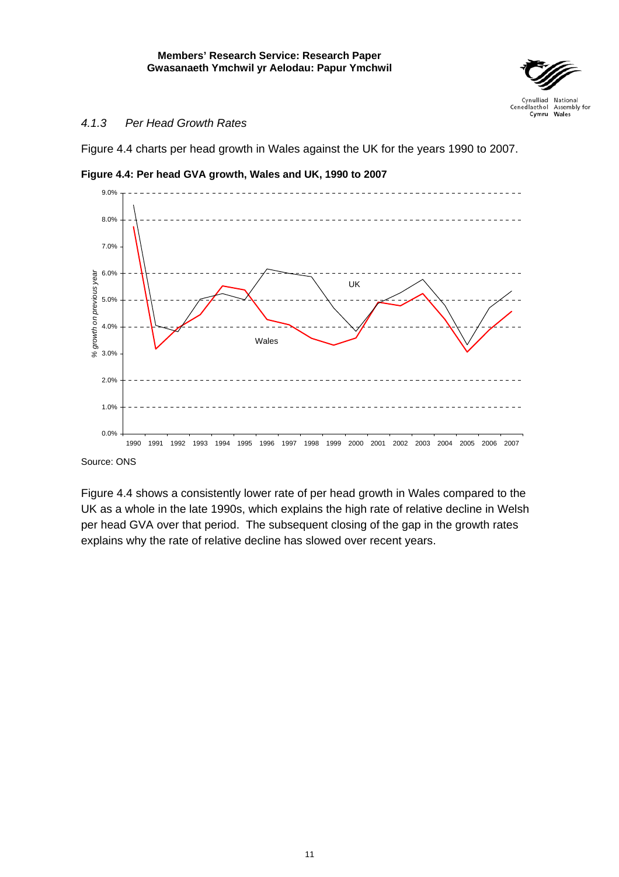

## <span id="page-16-0"></span>*4.1.3 Per Head Growth Rates*

Figure 4.4 charts per head growth in Wales against the UK for the years 1990 to 2007.



**Figure 4.4: Per head GVA growth, Wales and UK, 1990 to 2007** 

Source: ONS

Figure 4.4 shows a consistently lower rate of per head growth in Wales compared to the UK as a whole in the late 1990s, which explains the high rate of relative decline in Welsh per head GVA over that period. The subsequent closing of the gap in the growth rates explains why the rate of relative decline has slowed over recent years.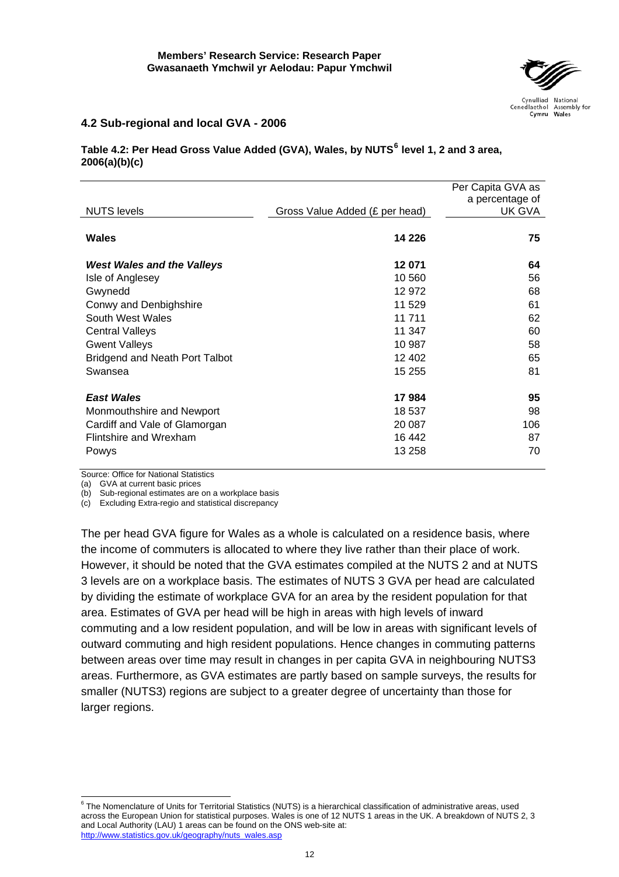

## <span id="page-17-0"></span>**4.2 Sub-regional and local GVA - 2006**

## **Table 4.2: Per Head Gross Value Added (GVA), Wales, by NUTS[6](#page-17-1) level 1, 2 and 3 area, 2006(a)(b)(c)**

|                                   |                                | Per Capita GVA as |
|-----------------------------------|--------------------------------|-------------------|
|                                   |                                |                   |
|                                   |                                | a percentage of   |
| <b>NUTS</b> levels                | Gross Value Added (£ per head) | UK GVA            |
| Wales                             | 14 2 26                        | 75                |
|                                   |                                |                   |
| <b>West Wales and the Valleys</b> | 12071                          | 64                |
| Isle of Anglesey                  | 10 560                         | 56                |
| Gwynedd                           | 12 972                         | 68                |
| Conwy and Denbighshire            | 11 529                         | 61                |
| South West Wales                  | 11 711                         | 62                |
| <b>Central Valleys</b>            | 11 347                         | 60                |
| <b>Gwent Valleys</b>              | 10 987                         | 58                |
| Bridgend and Neath Port Talbot    | 12 402                         | 65                |
| Swansea                           | 15 255                         | 81                |
|                                   |                                |                   |
| <b>East Wales</b>                 | 17984                          | 95                |
| Monmouthshire and Newport         | 18 537                         | 98                |
| Cardiff and Vale of Glamorgan     | 20 087                         | 106               |
| Flintshire and Wrexham            | 16 442                         | 87                |
| Powys                             | 13 258                         | 70                |
|                                   |                                |                   |

Source: Office for National Statistics

(a) GVA at current basic prices

(b) Sub-regional estimates are on a workplace basis

(c) Excluding Extra-regio and statistical discrepancy

The per head GVA figure for Wales as a whole is calculated on a residence basis, where the income of commuters is allocated to where they live rather than their place of work. However, it should be noted that the GVA estimates compiled at the NUTS 2 and at NUTS 3 levels are on a workplace basis. The estimates of NUTS 3 GVA per head are calculated by dividing the estimate of workplace GVA for an area by the resident population for that area. Estimates of GVA per head will be high in areas with high levels of inward commuting and a low resident population, and will be low in areas with significant levels of outward commuting and high resident populations. Hence changes in commuting patterns between areas over time may result in changes in per capita GVA in neighbouring NUTS3 areas. Furthermore, as GVA estimates are partly based on sample surveys, the results for smaller (NUTS3) regions are subject to a greater degree of uncertainty than those for larger regions.

<span id="page-17-1"></span> 6 The Nomenclature of Units for Territorial Statistics (NUTS) is a hierarchical classification of administrative areas, used across the European Union for statistical purposes. Wales is one of 12 NUTS 1 areas in the UK. A breakdown of NUTS 2, 3 and Local Authority (LAU) 1 areas can be found on the ONS web-site at: [http://www.statistics.gov.uk/geography/nuts\\_wales.asp](http://www.statistics.gov.uk/geography/nuts_wales.asp)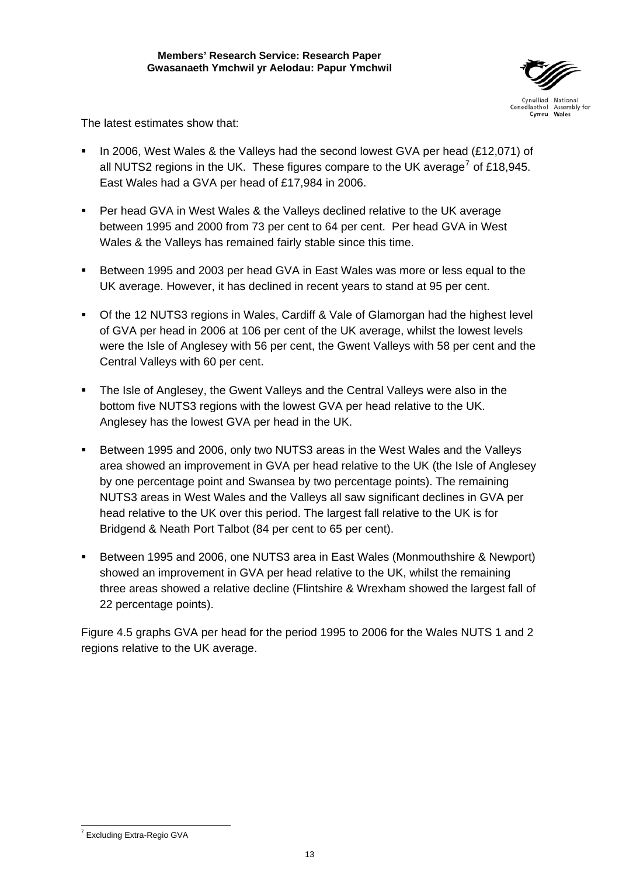

The latest estimates show that:

- In 2006, West Wales & the Valleys had the second lowest GVA per head (£12,071) of all NUTS2 regions in the UK. These figures compare to the UK average<sup>[7](#page-18-0)</sup> of £18,945. East Wales had a GVA per head of £17,984 in 2006.
- Per head GVA in West Wales & the Valleys declined relative to the UK average between 1995 and 2000 from 73 per cent to 64 per cent. Per head GVA in West Wales & the Valleys has remained fairly stable since this time.
- Between 1995 and 2003 per head GVA in East Wales was more or less equal to the UK average. However, it has declined in recent years to stand at 95 per cent.
- Of the 12 NUTS3 regions in Wales, Cardiff & Vale of Glamorgan had the highest level of GVA per head in 2006 at 106 per cent of the UK average, whilst the lowest levels were the Isle of Anglesey with 56 per cent, the Gwent Valleys with 58 per cent and the Central Valleys with 60 per cent.
- The Isle of Anglesey, the Gwent Valleys and the Central Valleys were also in the bottom five NUTS3 regions with the lowest GVA per head relative to the UK. Anglesey has the lowest GVA per head in the UK.
- Between 1995 and 2006, only two NUTS3 areas in the West Wales and the Valleys area showed an improvement in GVA per head relative to the UK (the Isle of Anglesey by one percentage point and Swansea by two percentage points). The remaining NUTS3 areas in West Wales and the Valleys all saw significant declines in GVA per head relative to the UK over this period. The largest fall relative to the UK is for Bridgend & Neath Port Talbot (84 per cent to 65 per cent).
- Between 1995 and 2006, one NUTS3 area in East Wales (Monmouthshire & Newport) showed an improvement in GVA per head relative to the UK, whilst the remaining three areas showed a relative decline (Flintshire & Wrexham showed the largest fall of 22 percentage points).

Figure 4.5 graphs GVA per head for the period 1995 to 2006 for the Wales NUTS 1 and 2 regions relative to the UK average.

<span id="page-18-0"></span><sup>&</sup>lt;sup>7</sup> Excluding Extra-Regio GVA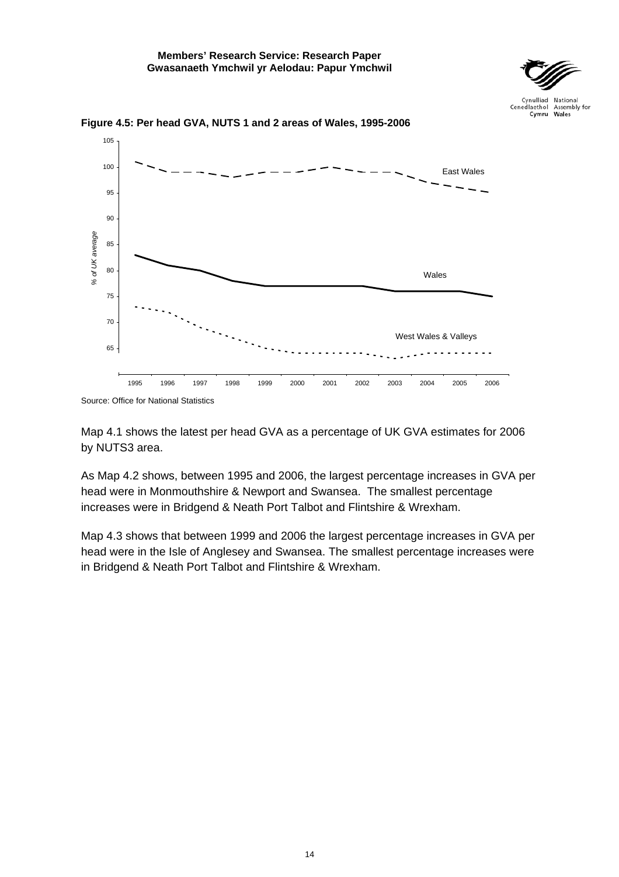



<span id="page-19-0"></span>**Figure 4.5: Per head GVA, NUTS 1 and 2 areas of Wales, 1995-2006** 

Map 4.1 shows the latest per head GVA as a percentage of UK GVA estimates for 2006 by NUTS3 area.

As Map 4.2 shows, between 1995 and 2006, the largest percentage increases in GVA per head were in Monmouthshire & Newport and Swansea. The smallest percentage increases were in Bridgend & Neath Port Talbot and Flintshire & Wrexham.

Map 4.3 shows that between 1999 and 2006 the largest percentage increases in GVA per head were in the Isle of Anglesey and Swansea. The smallest percentage increases were in Bridgend & Neath Port Talbot and Flintshire & Wrexham.

Source: Office for National Statistics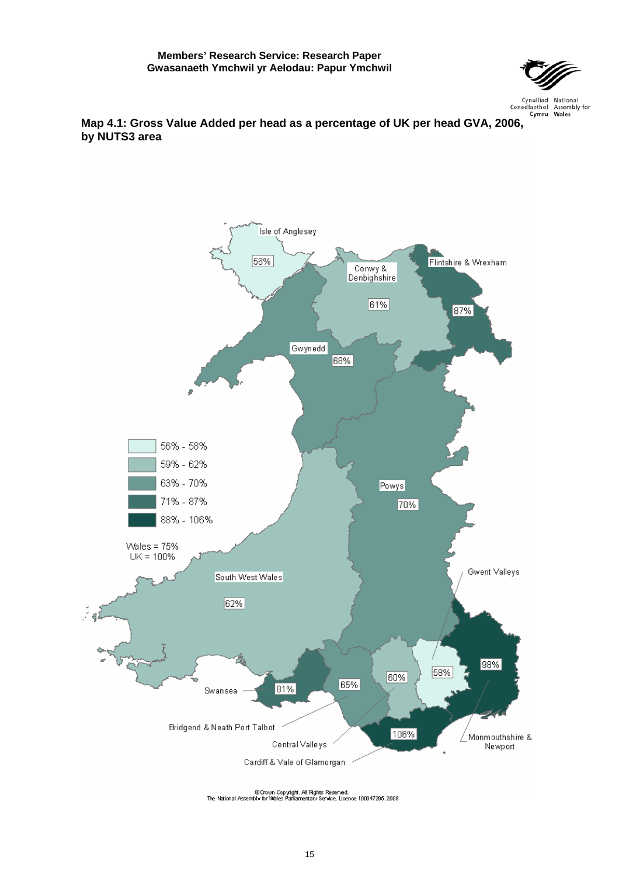

# <span id="page-20-0"></span><sup>Cynulliad National</sup><br><sup>Cenedlaethol Assembly for **Map 4.1: Gross Value Added per head as a percentage of UK per head GVA, 2006,**</sup> **by NUTS3 area**

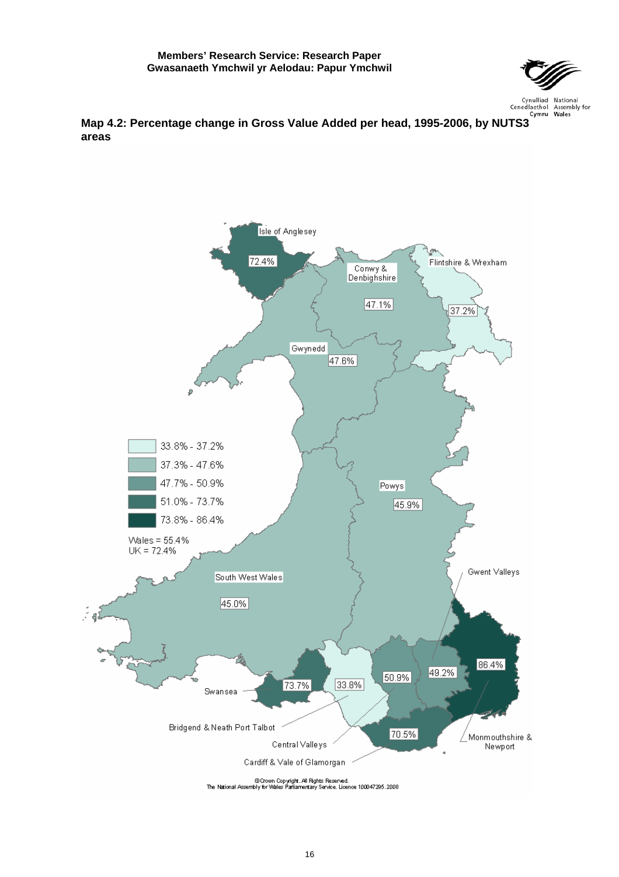

<span id="page-21-0"></span>

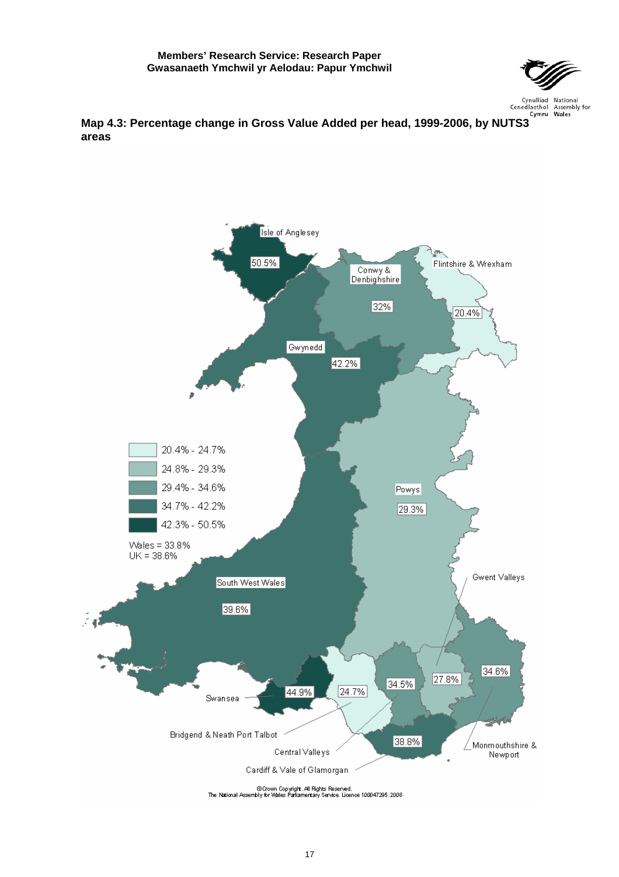

<span id="page-22-0"></span>

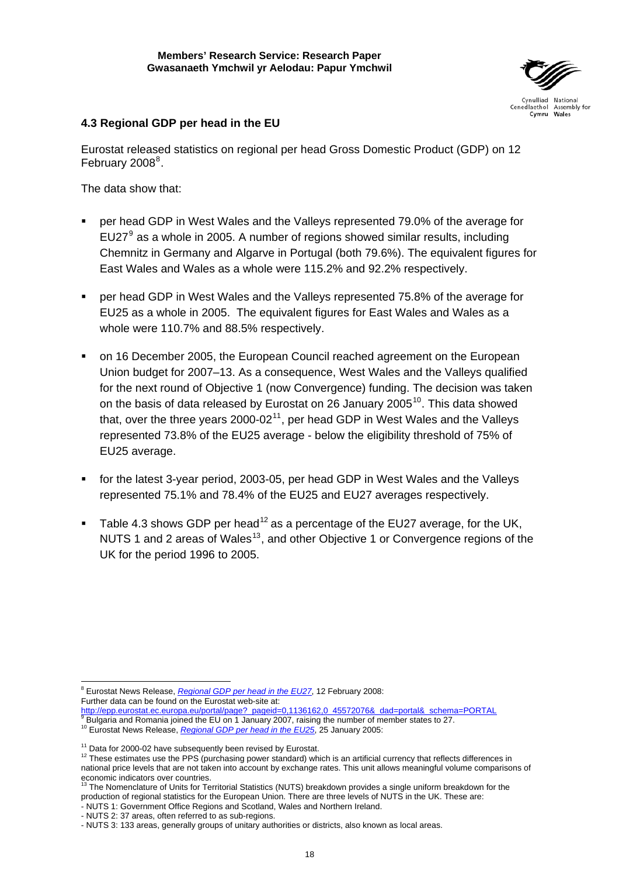

## **4.3 Regional GDP per head in the EU**

Eurostat released statistics on regional per head Gross Domestic Product (GDP) on 12 February 200[8](#page-23-0)<sup>8</sup>.

The data show that:

- per head GDP in West Wales and the Valleys represented 79.0% of the average for EU27 $9$  as a whole in 2005. A number of regions showed similar results, including Chemnitz in Germany and Algarve in Portugal (both 79.6%). The equivalent figures for East Wales and Wales as a whole were 115.2% and 92.2% respectively.
- per head GDP in West Wales and the Valleys represented 75.8% of the average for EU25 as a whole in 2005. The equivalent figures for East Wales and Wales as a whole were 110.7% and 88.5% respectively.
- on 16 December 2005, the European Council reached agreement on the European Union budget for 2007–13. As a consequence, West Wales and the Valleys qualified for the next round of Objective 1 (now Convergence) funding. The decision was taken on the basis of data released by Eurostat on 26 January 2005<sup>[10](#page-23-2)</sup>. This data showed that, over the three years  $2000-02<sup>11</sup>$  $2000-02<sup>11</sup>$  $2000-02<sup>11</sup>$ , per head GDP in West Wales and the Valleys represented 73.8% of the EU25 average - below the eligibility threshold of 75% of EU25 average.
- for the latest 3-year period, 2003-05, per head GDP in West Wales and the Valleys represented 75.1% and 78.4% of the EU25 and EU27 averages respectively.
- Table 4.3 shows GDP per head<sup>[12](#page-23-4)</sup> as a percentage of the EU27 average, for the UK, NUTS 1 and 2 areas of Wales<sup>[13](#page-23-5)</sup>, and other Objective 1 or Convergence regions of the UK for the period 1996 to 2005.

<span id="page-23-0"></span> 8 Eurostat News Release, *[Regional GDP per head in the EU27](http://epp.eurostat.ec.europa.eu/pls/portal/docs/PAGE/PGP_PRD_CAT_PREREL/PGE_CAT_PREREL_YEAR_2008/PGE_CAT_PREREL_YEAR_2008_MONTH_02/1-12022008-EN-AP.PDF)*, 12 February 2008: Further data can be found on the Eurostat web-site at:

[http://epp.eurostat.ec.europa.eu/portal/page?\\_pageid=0,1136162,0\\_45572076&\\_dad=portal&\\_schema=PORTAL](http://epp.eurostat.ec.europa.eu/portal/page?_pageid=0,1136162,0_45572076&_dad=portal&_schema=PORTAL)<br><sup>9</sup> Bulgaria and Ramania is incel the EU and January 2007, rejains the number of member atotae to 27 Bulgaria and Romania joined the EU on 1 January 2007, raising the number of member states to 27.

<span id="page-23-2"></span><span id="page-23-1"></span><sup>10</sup> Eurostat News Release, *[Regional GDP per head in the EU25](http://www.europa.eu.int/rapid/pressReleasesAction.do?reference=STAT/05/13&format=HTML&aged=0&language=EN&guiLanguage=en)*, 25 January 2005:

<span id="page-23-4"></span><span id="page-23-3"></span><sup>&</sup>lt;sup>11</sup> Data for 2000-02 have subsequently been revised by Eurostat.<br><sup>12</sup> These estimates use the PPS (purchasing power standard) which is an artificial currency that reflects differences in national price levels that are not taken into account by exchange rates. This unit allows meaningful volume comparisons of economic indicators over countries.

<span id="page-23-5"></span>The Nomenclature of Units for Territorial Statistics (NUTS) breakdown provides a single uniform breakdown for the production of regional statistics for the European Union. There are three levels of NUTS in the UK. These are:

<sup>-</sup> NUTS 1: Government Office Regions and Scotland, Wales and Northern Ireland.

<sup>-</sup> NUTS 2: 37 areas, often referred to as sub-regions.

<sup>-</sup> NUTS 3: 133 areas, generally groups of unitary authorities or districts, also known as local areas.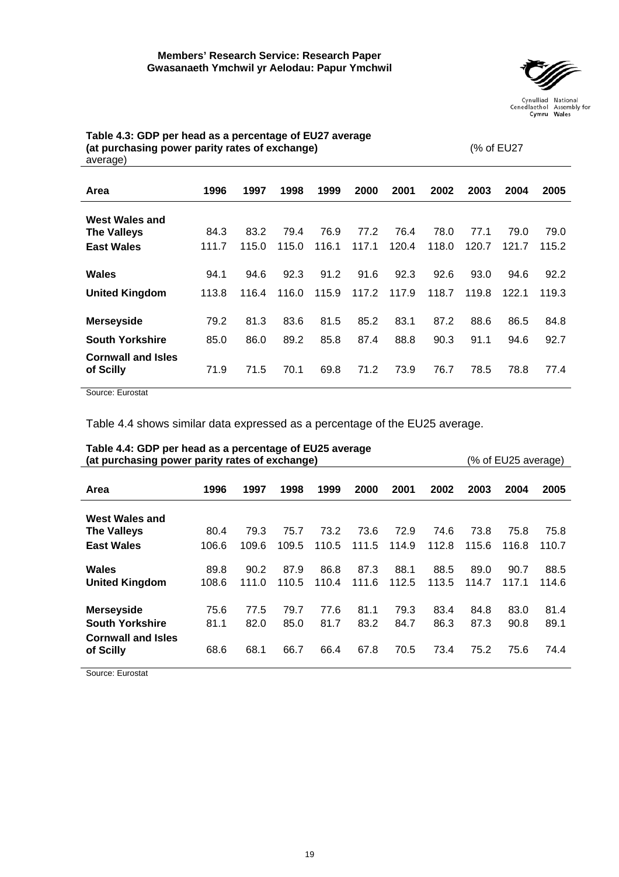

| - יש                                   |       |       |       |       |       |       |       |       |       |       |
|----------------------------------------|-------|-------|-------|-------|-------|-------|-------|-------|-------|-------|
| Area                                   | 1996  | 1997  | 1998  | 1999  | 2000  | 2001  | 2002  | 2003  | 2004  | 2005  |
| <b>West Wales and</b>                  |       |       |       |       |       |       |       |       |       |       |
| <b>The Valleys</b>                     | 84.3  | 83.2  | 79.4  | 76.9  | 77.2  | 76.4  | 78.0  | 77.1  | 79.0  | 79.0  |
| <b>East Wales</b>                      | 111.7 | 115.0 | 115.0 | 116.1 | 117.1 | 120.4 | 118.0 | 120.7 | 121.7 | 115.2 |
| Wales                                  | 94.1  | 94.6  | 92.3  | 91.2  | 91.6  | 92.3  | 92.6  | 93.0  | 94.6  | 92.2  |
| <b>United Kingdom</b>                  | 113.8 | 116.4 | 116.0 | 115.9 | 117.2 | 117.9 | 118.7 | 119.8 | 122.1 | 119.3 |
| <b>Merseyside</b>                      | 79.2  | 81.3  | 83.6  | 81.5  | 85.2  | 83.1  | 87.2  | 88.6  | 86.5  | 84.8  |
| <b>South Yorkshire</b>                 | 85.0  | 86.0  | 89.2  | 85.8  | 87.4  | 88.8  | 90.3  | 91.1  | 94.6  | 92.7  |
| <b>Cornwall and Isles</b><br>of Scilly | 71.9  | 71.5  | 70.1  | 69.8  | 71.2  | 73.9  | 76.7  | 78.5  | 78.8  | 77.4  |

<span id="page-24-0"></span>**Table 4.3: GDP per head as a percentage of EU27 average (at purchasing power parity rates of exchange)** (% of EU27 average)

Source: Eurostat

Table 4.4 shows similar data expressed as a percentage of the EU25 average.

| (% of EU25 average)<br>(at purchasing power parity rates of exchange) |               |               |               |               |               |               |               |               |               |               |
|-----------------------------------------------------------------------|---------------|---------------|---------------|---------------|---------------|---------------|---------------|---------------|---------------|---------------|
| Area                                                                  | 1996          | 1997          | 1998          | 1999          | 2000          | 2001          | 2002          | 2003          | 2004          | 2005          |
| <b>West Wales and</b>                                                 |               |               |               |               |               |               |               |               |               |               |
| <b>The Valleys</b>                                                    | 80.4          | 79.3          | 75.7          | 73.2          | 73.6          | 72.9          | 74.6          | 73.8          | 75.8          | 75.8          |
| <b>East Wales</b>                                                     | 106.6         | 109.6         | 109.5         | 110.5         | 111.5         | 114.9         | 112.8         | 115.6         | 116.8         | 110.7         |
| Wales<br><b>United Kingdom</b>                                        | 89.8<br>108.6 | 90.2<br>111.0 | 87.9<br>110.5 | 86.8<br>110.4 | 87.3<br>111.6 | 88.1<br>112.5 | 88.5<br>113.5 | 89.0<br>114.7 | 90.7<br>117.1 | 88.5<br>114.6 |
| <b>Merseyside</b>                                                     | 75.6          | 77.5          | 79.7          | 77.6          | 81.1          | 79.3          | 83.4          | 84.8          | 83.0          | 81.4          |
| <b>South Yorkshire</b>                                                | 81.1          | 82.0          | 85.0          | 81.7          | 83.2          | 84.7          | 86.3          | 87.3          | 90.8          | 89.1          |
| <b>Cornwall and Isles</b><br>of Scilly                                | 68.6          | 68.1          | 66.7          | 66.4          | 67.8          | 70.5          | 73.4          | 75.2          | 75.6          | 74.4          |

## **Table 4.4: GDP per head as a percentage of EU25 average**

Source: Eurostat

19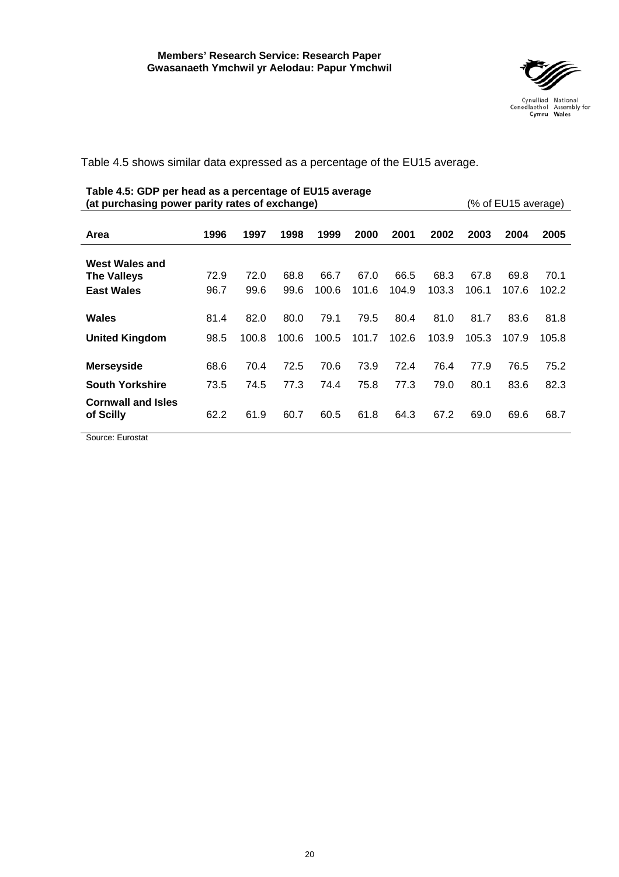

<span id="page-25-0"></span>Table 4.5 shows similar data expressed as a percentage of the EU15 average.

### **Table 4.5: GDP per head as a percentage of EU15 average (at purchasing power parity rates of exchange)** (% of EU15 average)

| Area                                   | 1996 | 1997  | 1998  | 1999  | 2000  | 2001  | 2002  | 2003  | 2004  | 2005  |
|----------------------------------------|------|-------|-------|-------|-------|-------|-------|-------|-------|-------|
| West Wales and                         |      |       |       |       |       |       |       |       |       |       |
| <b>The Valleys</b>                     | 72.9 | 72.0  | 68.8  | 66.7  | 67.0  | 66.5  | 68.3  | 67.8  | 69.8  | 70.1  |
| <b>East Wales</b>                      | 96.7 | 99.6  | 99.6  | 100.6 | 101.6 | 104.9 | 103.3 | 106.1 | 107.6 | 102.2 |
|                                        |      |       |       |       |       |       |       |       |       |       |
| Wales                                  | 81.4 | 82.0  | 80.0  | 79.1  | 79.5  | 80.4  | 81.0  | 81.7  | 83.6  | 81.8  |
| <b>United Kingdom</b>                  | 98.5 | 100.8 | 100.6 | 100.5 | 101.7 | 102.6 | 103.9 | 105.3 | 107.9 | 105.8 |
| <b>Merseyside</b>                      | 68.6 | 70.4  | 72.5  | 70.6  | 73.9  | 72.4  | 76.4  | 77.9  | 76.5  | 75.2  |
| <b>South Yorkshire</b>                 | 73.5 | 74.5  | 77.3  | 74.4  | 75.8  | 77.3  | 79.0  | 80.1  | 83.6  | 82.3  |
| <b>Cornwall and Isles</b><br>of Scilly | 62.2 | 61.9  | 60.7  | 60.5  | 61.8  | 64.3  | 67.2  | 69.0  | 69.6  | 68.7  |

Source: Eurostat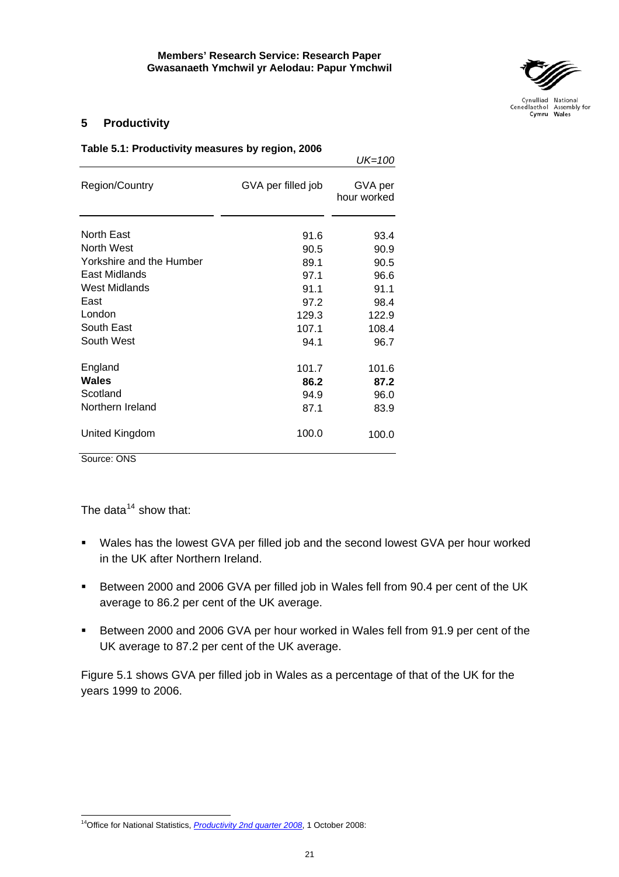*UK=100*



Cynulliad National<br>Cenedlaethol Assembly for<br>**Cymru Wales** 

## <span id="page-26-0"></span>**5 Productivity**

| Table 5.1: Productivity measures by region, 2006 |  |  |
|--------------------------------------------------|--|--|
|--------------------------------------------------|--|--|

|                          |                    | ----                   |
|--------------------------|--------------------|------------------------|
| Region/Country           | GVA per filled job | GVA per<br>hour worked |
| <b>North East</b>        | 91.6               | 93.4                   |
| <b>North West</b>        | 90.5               | 90.9                   |
| Yorkshire and the Humber | 89.1               | 90.5                   |
| East Midlands            | 97.1               | 96.6                   |
| <b>West Midlands</b>     | 91.1               | 91.1                   |
| East                     | 97.2               | 98.4                   |
| London                   | 129.3              | 122.9                  |
| South East               | 107.1              | 108.4                  |
| South West               | 94.1               | 96.7                   |
| England                  | 101.7              | 101.6                  |
| <b>Wales</b>             | 86.2               | 87.2                   |
| Scotland                 | 94.9               | 96.0                   |
| Northern Ireland         | 87.1               | 83.9                   |
| United Kingdom           | 100.0              | 100.0                  |

Source: ONS

 $\overline{a}$ 

The data $14$  show that:

- Wales has the lowest GVA per filled job and the second lowest GVA per hour worked in the UK after Northern Ireland.
- Between 2000 and 2006 GVA per filled job in Wales fell from 90.4 per cent of the UK average to 86.2 per cent of the UK average.
- Between 2000 and 2006 GVA per hour worked in Wales fell from 91.9 per cent of the UK average to 87.2 per cent of the UK average.

Figure 5.1 shows GVA per filled job in Wales as a percentage of that of the UK for the years 1999 to 2006.

<span id="page-26-1"></span><sup>&</sup>lt;sup>14</sup>Office for National Statistics, *[Productivity 2nd quarter 2008](http://www.statistics.gov.uk/pdfdir/prod1008.pdf)*, 1 October 2008: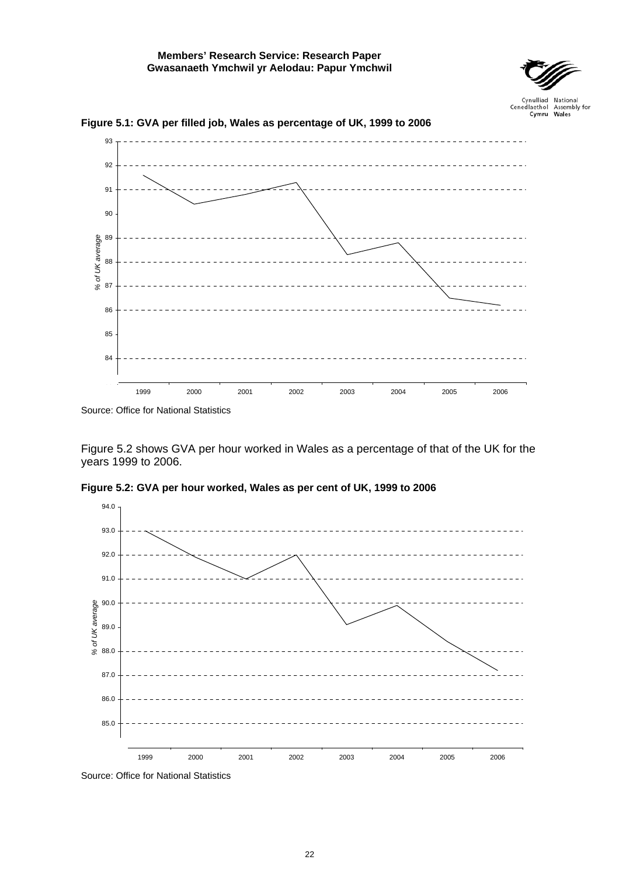

Cenedlaethol Assembly for<br>Wales



<span id="page-27-0"></span>**Figure 5.1: GVA per filled job, Wales as percentage of UK, 1999 to 2006**

Source: Office for National Statistics

Figure 5.2 shows GVA per hour worked in Wales as a percentage of that of the UK for the years 1999 to 2006.



**Figure 5.2: GVA per hour worked, Wales as per cent of UK, 1999 to 2006** 

Source: Office for National Statistics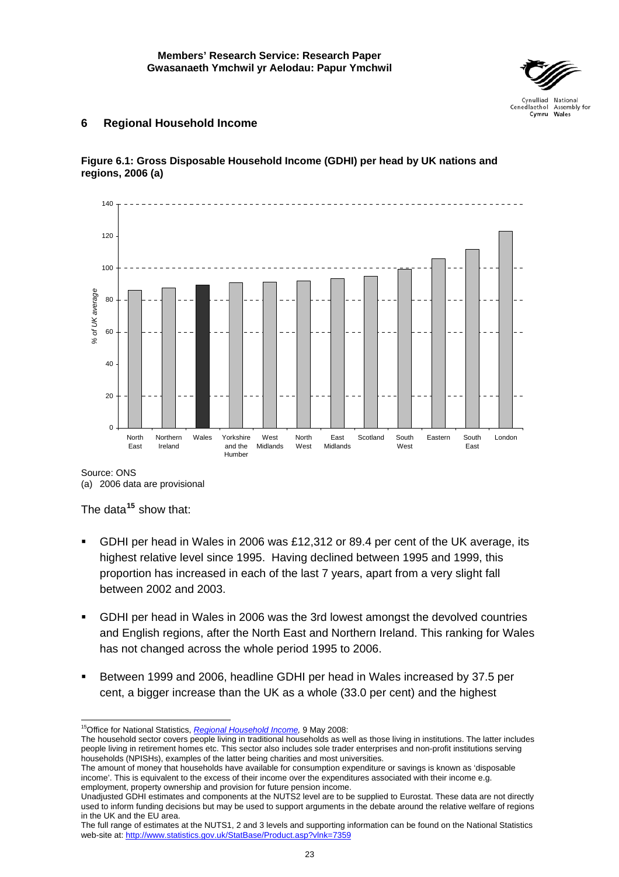

## <span id="page-28-0"></span>**6 Regional Household Income**





Source: ONS

(a) 2006 data are provisional

The data**[15](#page-28-1)** show that:

- GDHI per head in Wales in 2006 was £12,312 or 89.4 per cent of the UK average, its highest relative level since 1995. Having declined between 1995 and 1999, this proportion has increased in each of the last 7 years, apart from a very slight fall between 2002 and 2003.
- GDHI per head in Wales in 2006 was the 3rd lowest amongst the devolved countries and English regions, after the North East and Northern Ireland. This ranking for Wales has not changed across the whole period 1995 to 2006.
- Between 1999 and 2006, headline GDHI per head in Wales increased by 37.5 per cent, a bigger increase than the UK as a whole (33.0 per cent) and the highest

 $\overline{a}$ 15Office for National Statistics, *[Regional Household Income,](http://www.statistics.gov.uk/pdfdir/gdhi0508.pdf)* 9 May 2008:

<span id="page-28-1"></span>The household sector covers people living in traditional households as well as those living in institutions. The latter includes people living in retirement homes etc. This sector also includes sole trader enterprises and non-profit institutions serving households (NPISHs), examples of the latter being charities and most universities.

The amount of money that households have available for consumption expenditure or savings is known as 'disposable income'. This is equivalent to the excess of their income over the expenditures associated with their income e.g. employment, property ownership and provision for future pension income.

Unadjusted GDHI estimates and components at the NUTS2 level are to be supplied to Eurostat. These data are not directly used to inform funding decisions but may be used to support arguments in the debate around the relative welfare of regions in the UK and the EU area.

The full range of estimates at the NUTS1, 2 and 3 levels and supporting information can be found on the National Statistics web-site at: <http://www.statistics.gov.uk/StatBase/Product.asp?vlnk=7359>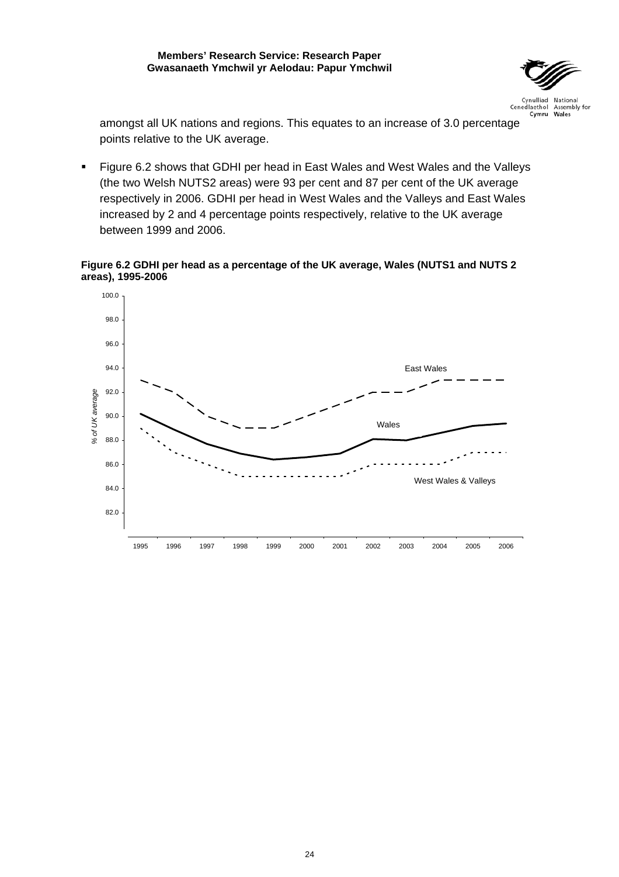

<span id="page-29-0"></span>amongst all UK nations and regions. This equates to an increase of 3.0 percentage points relative to the UK average.

 Figure 6.2 shows that GDHI per head in East Wales and West Wales and the Valleys (the two Welsh NUTS2 areas) were 93 per cent and 87 per cent of the UK average respectively in 2006. GDHI per head in West Wales and the Valleys and East Wales increased by 2 and 4 percentage points respectively, relative to the UK average between 1999 and 2006.

**Figure 6.2 GDHI per head as a percentage of the UK average, Wales (NUTS1 and NUTS 2 areas), 1995-2006** 

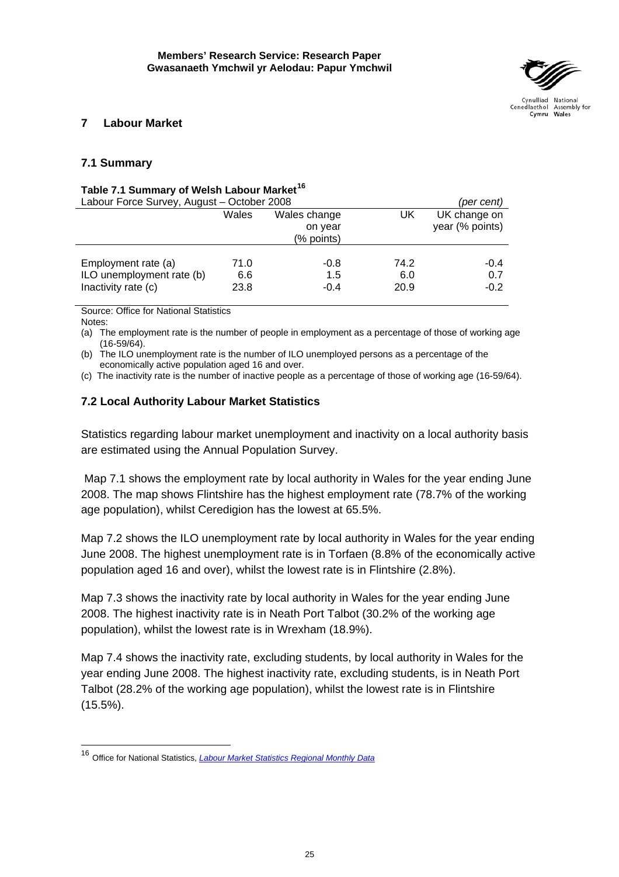

## <span id="page-30-0"></span>**7 Labour Market**

## **7.1 Summary**

## **Table 7.1 Summary of Welsh Labour Market[16](#page-30-1)**

| Labour Force Survey, August - October 2008                              | (per cent)                                     |                       |                     |                                 |
|-------------------------------------------------------------------------|------------------------------------------------|-----------------------|---------------------|---------------------------------|
|                                                                         | Wales<br>Wales change<br>on year<br>(% points) |                       | UK                  | UK change on<br>year (% points) |
| Employment rate (a)<br>ILO unemployment rate (b)<br>Inactivity rate (c) | 71.0<br>6.6<br>23.8                            | -0.8<br>1.5<br>$-0.4$ | 74.2<br>6.0<br>20.9 | $-0.4$<br>0.7<br>$-0.2$         |

Source: Office for National Statistics

Notes:

(a) The employment rate is the number of people in employment as a percentage of those of working age (16-59/64).

(b) The ILO unemployment rate is the number of ILO unemployed persons as a percentage of the economically active population aged 16 and over.

(c) The inactivity rate is the number of inactive people as a percentage of those of working age (16-59/64).

## **7.2 Local Authority Labour Market Statistics**

Statistics regarding labour market unemployment and inactivity on a local authority basis are estimated using the Annual Population Survey.

 Map 7.1 shows the employment rate by local authority in Wales for the year ending June 2008. The map shows Flintshire has the highest employment rate (78.7% of the working age population), whilst Ceredigion has the lowest at 65.5%.

Map 7.2 shows the ILO unemployment rate by local authority in Wales for the year ending June 2008. The highest unemployment rate is in Torfaen (8.8% of the economically active population aged 16 and over), whilst the lowest rate is in Flintshire (2.8%).

Map 7.3 shows the inactivity rate by local authority in Wales for the year ending June 2008. The highest inactivity rate is in Neath Port Talbot (30.2% of the working age population), whilst the lowest rate is in Wrexham (18.9%).

Map 7.4 shows the inactivity rate, excluding students, by local authority in Wales for the year ending June 2008. The highest inactivity rate, excluding students, is in Neath Port Talbot (28.2% of the working age population), whilst the lowest rate is in Flintshire (15.5%).

<span id="page-30-1"></span><sup>16</sup> Office for National Statistics, *[Labour Market Statistics Regional Monthly Data](http://www.statistics.gov.uk/StatBase/Product.asp?vlnk=15084)*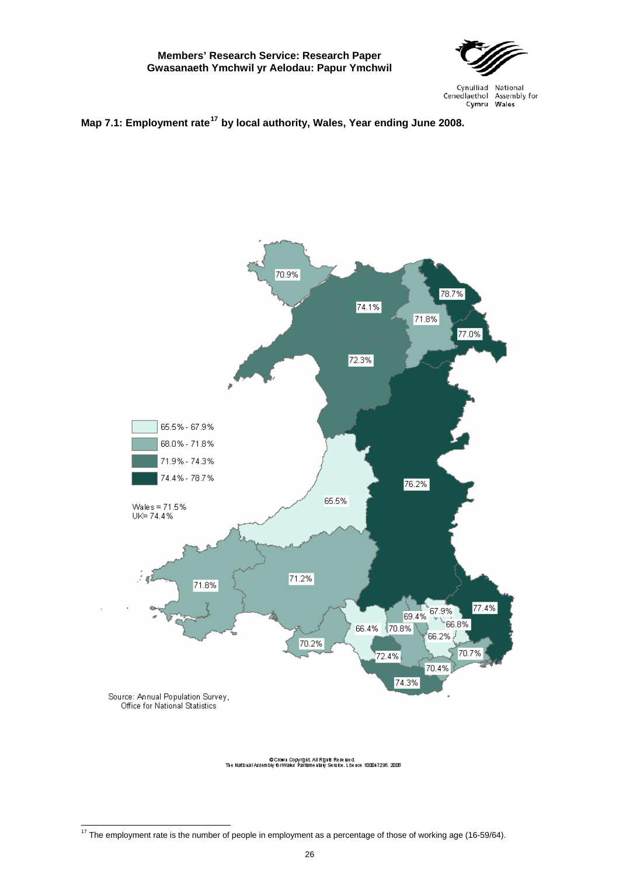

<span id="page-31-0"></span>



<span id="page-31-1"></span> $17$  The employment rate is the number of people in employment as a percentage of those of working age (16-59/64).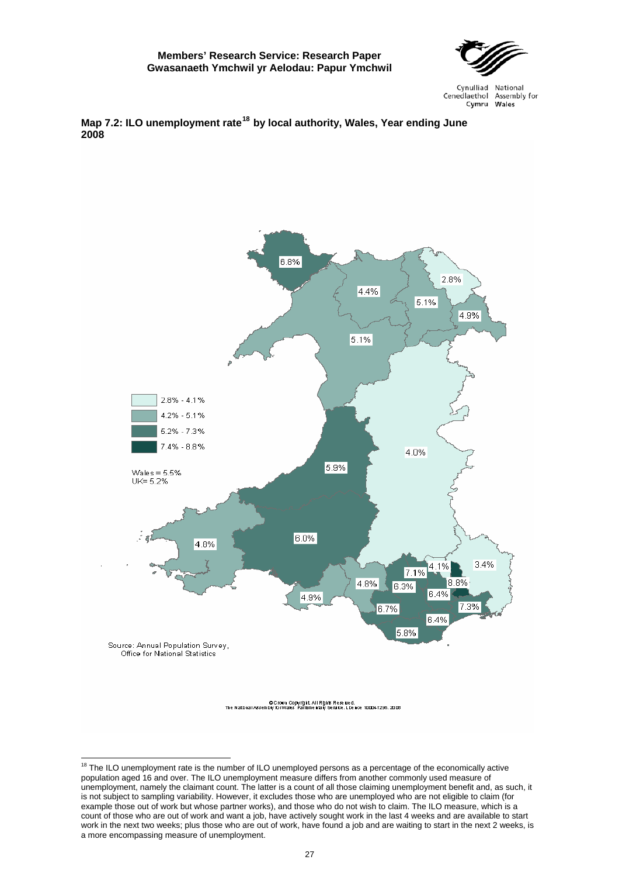

<span id="page-32-0"></span>



<span id="page-32-1"></span><sup>&</sup>lt;sup>18</sup> The ILO unemployment rate is the number of ILO unemployed persons as a percentage of the economically active population aged 16 and over. The ILO unemployment measure differs from another commonly used measure of unemployment, namely the claimant count. The latter is a count of all those claiming unemployment benefit and, as such, it is not subject to sampling variability. However, it excludes those who are unemployed who are not eligible to claim (for example those out of work but whose partner works), and those who do not wish to claim. The ILO measure, which is a count of those who are out of work and want a job, have actively sought work in the last 4 weeks and are available to start work in the next two weeks; plus those who are out of work, have found a job and are waiting to start in the next 2 weeks, is a more encompassing measure of unemployment.

 $\overline{a}$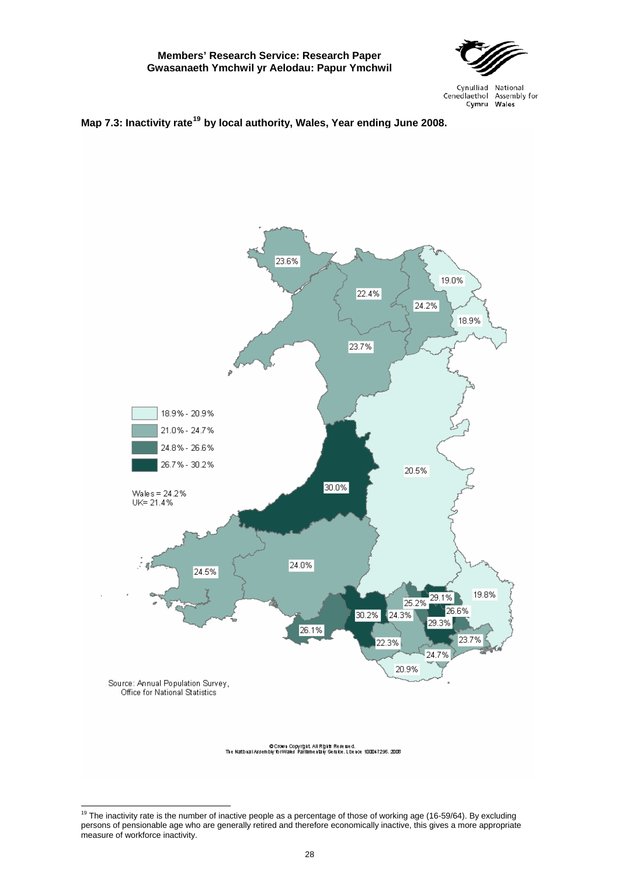

Cynulliad National Cenedlaethol Assembly for Cymru Wales

## **Map 7.3: Inactivity rate[19](#page-33-0) by local authority, Wales, Year ending June 2008.**



<span id="page-33-0"></span>  $19$  The inactivity rate is the number of inactive people as a percentage of those of working age (16-59/64). By excluding persons of pensionable age who are generally retired and therefore economically inactive, this gives a more appropriate measure of workforce inactivity.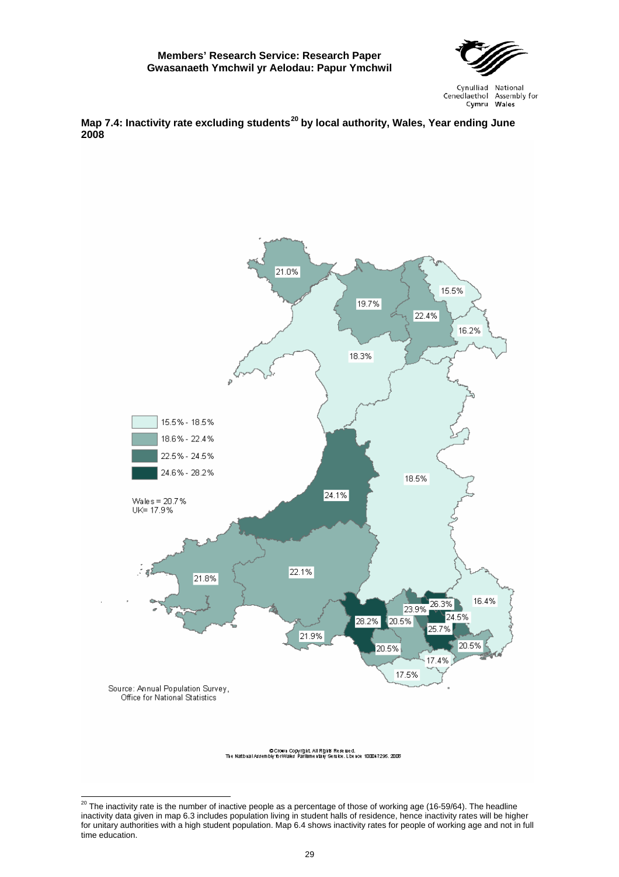

<span id="page-34-0"></span>**Map 7.4: Inactivity rate excluding students[20](#page-34-1) by local authority, Wales, Year ending June 2008**



<span id="page-34-1"></span> $\overline{a}$  $^{20}$  The inactivity rate is the number of inactive people as a percentage of those of working age (16-59/64). The headline inactivity data given in map 6.3 includes population living in student halls of residence, hence inactivity rates will be higher for unitary authorities with a high student population. Map 6.4 shows inactivity rates for people of working age and not in full time education.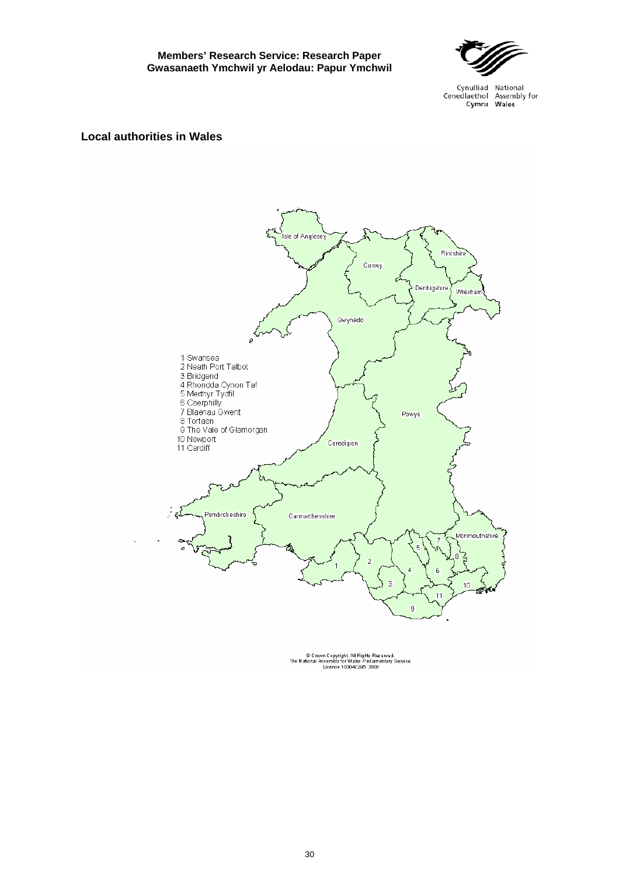

Cynulliad National Cenedlaethol Assembly for Cymru Wales

### **Local authorities in Wales**



© Crown Copyright All Rights Reserved.<br>The National Assembly for Wales Parliamentary Service.<br>Licence 100047295. 2008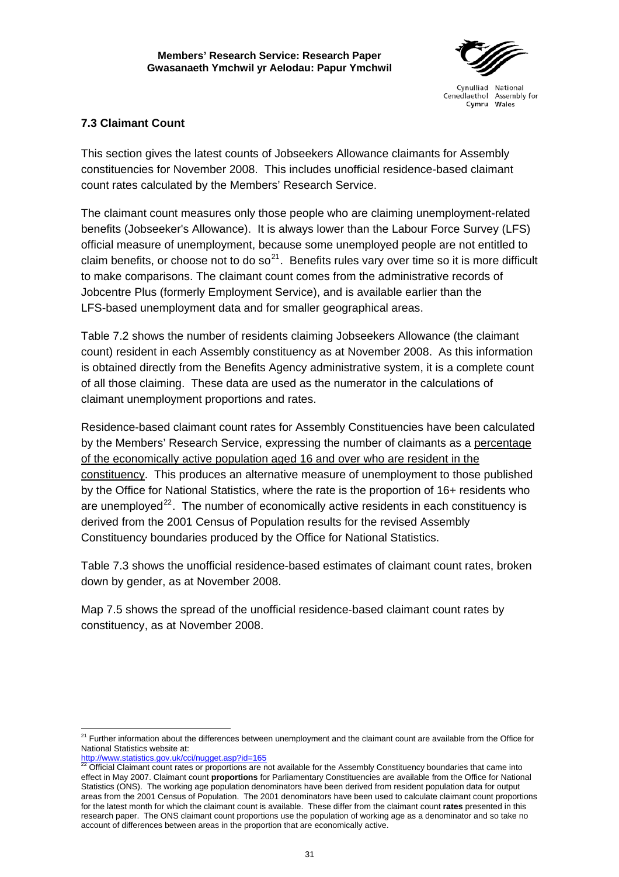

## **7.3 Claimant Count**

This section gives the latest counts of Jobseekers Allowance claimants for Assembly constituencies for November 2008. This includes unofficial residence-based claimant count rates calculated by the Members' Research Service.

The claimant count measures only those people who are claiming unemployment-related benefits (Jobseeker's Allowance). It is always lower than the Labour Force Survey (LFS) official measure of unemployment, because some unemployed people are not entitled to claim benefits, or choose not to do so<sup>[21](#page-36-0)</sup>. Benefits rules vary over time so it is more difficult to make comparisons. The claimant count comes from the administrative records of Jobcentre Plus (formerly Employment Service), and is available earlier than the LFS-based unemployment data and for smaller geographical areas.

Table 7.2 shows the number of residents claiming Jobseekers Allowance (the claimant count) resident in each Assembly constituency as at November 2008. As this information is obtained directly from the Benefits Agency administrative system, it is a complete count of all those claiming. These data are used as the numerator in the calculations of claimant unemployment proportions and rates.

Residence-based claimant count rates for Assembly Constituencies have been calculated by the Members' Research Service, expressing the number of claimants as a percentage of the economically active population aged 16 and over who are resident in the constituency. This produces an alternative measure of unemployment to those published by the Office for National Statistics, where the rate is the proportion of 16+ residents who are unemployed<sup>[22](#page-36-1)</sup>. The number of economically active residents in each constituency is derived from the 2001 Census of Population results for the revised Assembly Constituency boundaries produced by the Office for National Statistics.

Table 7.3 shows the unofficial residence-based estimates of claimant count rates, broken down by gender, as at November 2008.

Map 7.5 shows the spread of the unofficial residence-based claimant count rates by constituency, as at November 2008.

<span id="page-36-0"></span> $\overline{a}$  $21$  Further information about the differences between unemployment and the claimant count are available from the Office for National Statistics website at:<br>http://www.statistics.gov.uk/cci/nugget.asp?id=165

<span id="page-36-1"></span>Official Claimant count rates or proportions are not available for the Assembly Constituency boundaries that came into effect in May 2007. Claimant count **proportions** for Parliamentary Constituencies are available from the Office for National Statistics (ONS). The working age population denominators have been derived from resident population data for output areas from the 2001 Census of Population. The 2001 denominators have been used to calculate claimant count proportions for the latest month for which the claimant count is available. These differ from the claimant count **rates** presented in this research paper. The ONS claimant count proportions use the population of working age as a denominator and so take no account of differences between areas in the proportion that are economically active.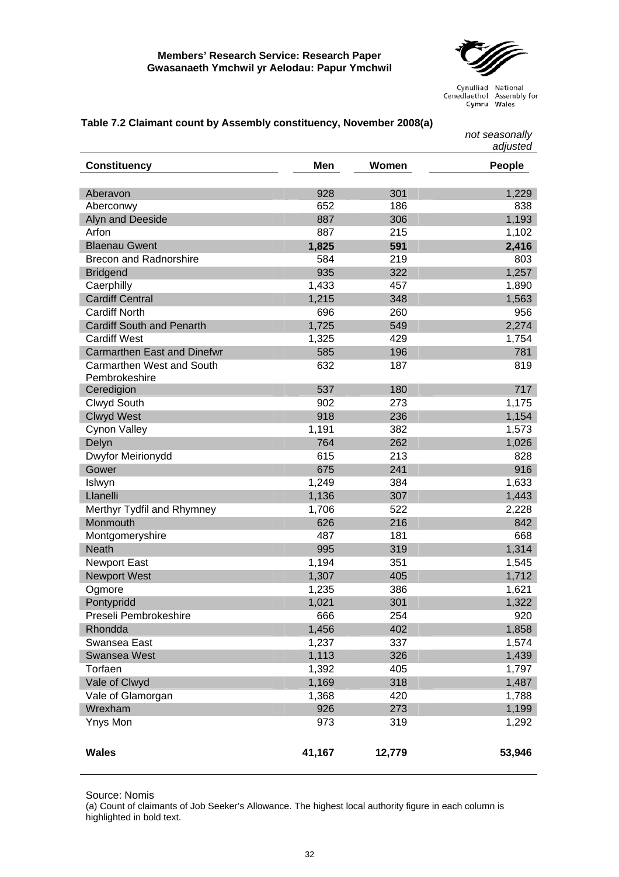

Cynulliad National Consellate Cenedlate Cenedlate Lawsenby for

|                                            |        |        | not seasonally<br>adjusted |
|--------------------------------------------|--------|--------|----------------------------|
| <b>Constituency</b>                        | Men    | Women  | People                     |
| Aberavon                                   | 928    | 301    | 1,229                      |
| Aberconwy                                  | 652    | 186    | 838                        |
| Alyn and Deeside                           | 887    | 306    | 1,193                      |
| Arfon                                      | 887    | 215    | 1,102                      |
| <b>Blaenau Gwent</b>                       | 1,825  | 591    | 2,416                      |
| <b>Brecon and Radnorshire</b>              | 584    | 219    | 803                        |
| <b>Bridgend</b>                            | 935    | 322    | 1,257                      |
| Caerphilly                                 | 1,433  | 457    | 1,890                      |
| <b>Cardiff Central</b>                     | 1,215  | 348    | 1,563                      |
| <b>Cardiff North</b>                       | 696    | 260    | 956                        |
| <b>Cardiff South and Penarth</b>           | 1,725  | 549    | 2,274                      |
| <b>Cardiff West</b>                        | 1,325  | 429    | 1,754                      |
| <b>Carmarthen East and Dinefwr</b>         | 585    | 196    | 781                        |
| Carmarthen West and South<br>Pembrokeshire | 632    | 187    | 819                        |
| Ceredigion                                 | 537    | 180    | 717                        |
| Clwyd South                                | 902    | 273    | 1,175                      |
| <b>Clwyd West</b>                          | 918    | 236    | 1,154                      |
| <b>Cynon Valley</b>                        | 1,191  | 382    | 1,573                      |
| Delyn                                      | 764    | 262    | 1,026                      |
| Dwyfor Meirionydd                          | 615    | 213    | 828                        |
| Gower                                      | 675    | 241    | 916                        |
| Islwyn                                     | 1,249  | 384    | 1,633                      |
| Llanelli                                   | 1,136  | 307    | 1,443                      |
| Merthyr Tydfil and Rhymney                 | 1,706  | 522    | 2,228                      |
| Monmouth                                   | 626    | 216    | 842                        |
| Montgomeryshire                            | 487    | 181    | 668                        |
| <b>Neath</b>                               | 995    | 319    | 1,314                      |
| <b>Newport East</b>                        | 1,194  | 351    | 1,545                      |
| <b>Newport West</b>                        | 1,307  | 405    | 1,712                      |
| Ogmore                                     | 1,235  | 386    | 1,621                      |
| Pontypridd                                 | 1,021  | 301    | 1,322                      |
| Preseli Pembrokeshire                      | 666    | 254    | 920                        |
| Rhondda                                    | 1,456  | 402    | 1,858                      |
| Swansea East                               | 1,237  | 337    | 1,574                      |
| <b>Swansea West</b>                        | 1,113  | 326    | 1,439                      |
| Torfaen                                    | 1,392  | 405    | 1,797                      |
| Vale of Clwyd                              | 1,169  | 318    | 1,487                      |
| Vale of Glamorgan                          | 1,368  | 420    | 1,788                      |
| Wrexham                                    | 926    | 273    | 1,199                      |
| Ynys Mon                                   | 973    | 319    | 1,292                      |
| <b>Wales</b>                               | 41,167 | 12,779 | 53,946                     |

#### <span id="page-37-0"></span>**Table 7.2 Claimant count by Assembly constituency, November 2008(a)**

Source: Nomis

(a) Count of claimants of Job Seeker's Allowance. The highest local authority figure in each column is highlighted in bold text.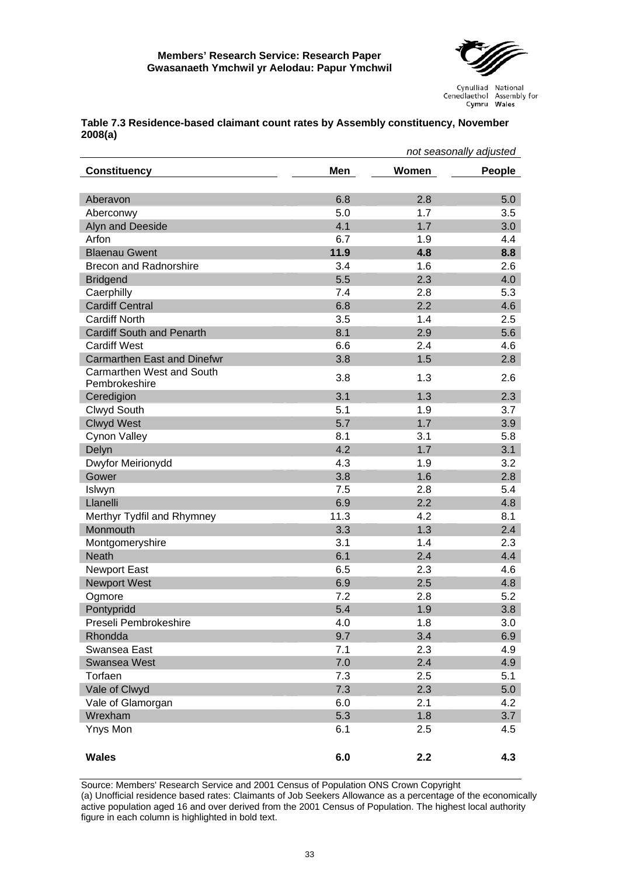

|                                    | not seasonally adjusted |       |        |
|------------------------------------|-------------------------|-------|--------|
| <b>Constituency</b>                | Men                     | Women | People |
|                                    |                         |       |        |
| Aberavon                           | 6.8                     | 2.8   | 5.0    |
| Aberconwy                          | 5.0                     | 1.7   | 3.5    |
| Alyn and Deeside                   | 4.1                     | 1.7   | 3.0    |
| Arfon                              | 6.7                     | 1.9   | 4.4    |
| <b>Blaenau Gwent</b>               | 11.9                    | 4.8   | 8.8    |
| <b>Brecon and Radnorshire</b>      | 3.4                     | 1.6   | 2.6    |
| <b>Bridgend</b>                    | 5.5                     | 2.3   | 4.0    |
| Caerphilly                         | 7.4                     | 2.8   | 5.3    |
| <b>Cardiff Central</b>             | 6.8                     | 2.2   | 4.6    |
| <b>Cardiff North</b>               | 3.5                     | 1.4   | 2.5    |
| <b>Cardiff South and Penarth</b>   | 8.1                     | 2.9   | 5.6    |
| <b>Cardiff West</b>                | 6.6                     | 2.4   | 4.6    |
| <b>Carmarthen East and Dinefwr</b> | 3.8                     | 1.5   | 2.8    |
| <b>Carmarthen West and South</b>   |                         |       |        |
| Pembrokeshire                      | 3.8                     | 1.3   | 2.6    |
| Ceredigion                         | 3.1                     | 1.3   | 2.3    |
| Clwyd South                        | 5.1                     | 1.9   | 3.7    |
| <b>Clwyd West</b>                  | 5.7                     | 1.7   | 3.9    |
| <b>Cynon Valley</b>                | 8.1                     | 3.1   | 5.8    |
| Delyn                              | 4.2                     | 1.7   | 3.1    |
| Dwyfor Meirionydd                  | 4.3                     | 1.9   | 3.2    |
| Gower                              | 3.8                     | 1.6   | 2.8    |
| Islwyn                             | 7.5                     | 2.8   | 5.4    |
| Llanelli                           | 6.9                     | 2.2   | 4.8    |
| Merthyr Tydfil and Rhymney         | 11.3                    | 4.2   | 8.1    |
| Monmouth                           | 3.3                     | 1.3   | 2.4    |
| Montgomeryshire                    | 3.1                     | 1.4   | 2.3    |
| <b>Neath</b>                       | 6.1                     | 2.4   | 4.4    |
| <b>Newport East</b>                | 6.5                     | 2.3   | 4.6    |
| <b>Newport West</b>                | 6.9                     | 2.5   | 4.8    |
| Ogmore                             | 7.2                     | 2.8   | 5.2    |
| Pontypridd                         | 5.4                     | 1.9   | 3.8    |
| Preseli Pembrokeshire              | 4.0                     | 1.8   | 3.0    |
| Rhondda                            | 9.7                     | 3.4   | 6.9    |
| Swansea East                       | 7.1                     | 2.3   | 4.9    |
| <b>Swansea West</b>                | 7.0                     | 2.4   | 4.9    |
| Torfaen                            | 7.3                     | 2.5   | 5.1    |
| Vale of Clwyd                      | 7.3                     | 2.3   | 5.0    |
| Vale of Glamorgan                  | 6.0                     | 2.1   | 4.2    |
| Wrexham                            | 5.3                     | 1.8   | 3.7    |
| Ynys Mon                           | 6.1                     | 2.5   | 4.5    |
|                                    |                         |       |        |
| <b>Wales</b>                       | 6.0                     | 2.2   | 4.3    |

#### <span id="page-38-0"></span>**Table 7.3 Residence-based claimant count rates by Assembly constituency, November 2008(a)**

Source: Members' Research Service and 2001 Census of Population ONS Crown Copyright (a) Unofficial residence based rates: Claimants of Job Seekers Allowance as a percentage of the economically active population aged 16 and over derived from the 2001 Census of Population. The highest local authority figure in each column is highlighted in bold text.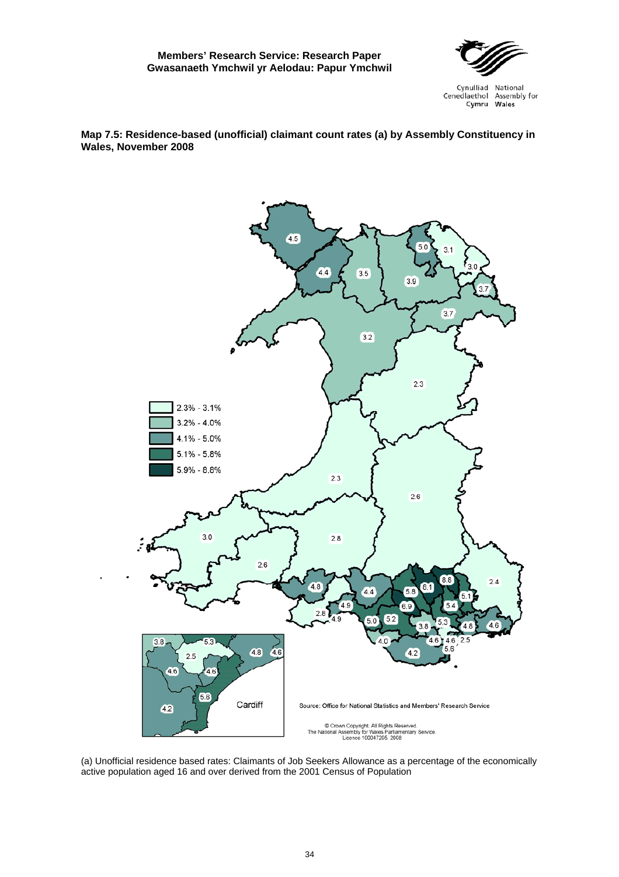

<span id="page-39-0"></span>**Map 7.5: Residence-based (unofficial) claimant count rates (a) by Assembly Constituency in Wales, November 2008** 



(a) Unofficial residence based rates: Claimants of Job Seekers Allowance as a percentage of the economically active population aged 16 and over derived from the 2001 Census of Population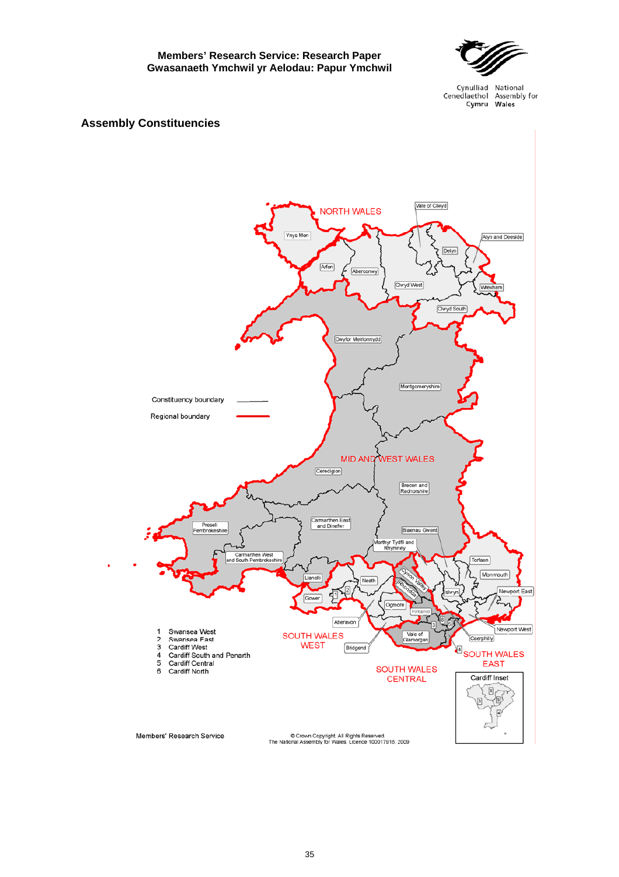

Cynulliad National Cenedlaethol Assembly for Cymru Wales

## **Assembly Constituencies**

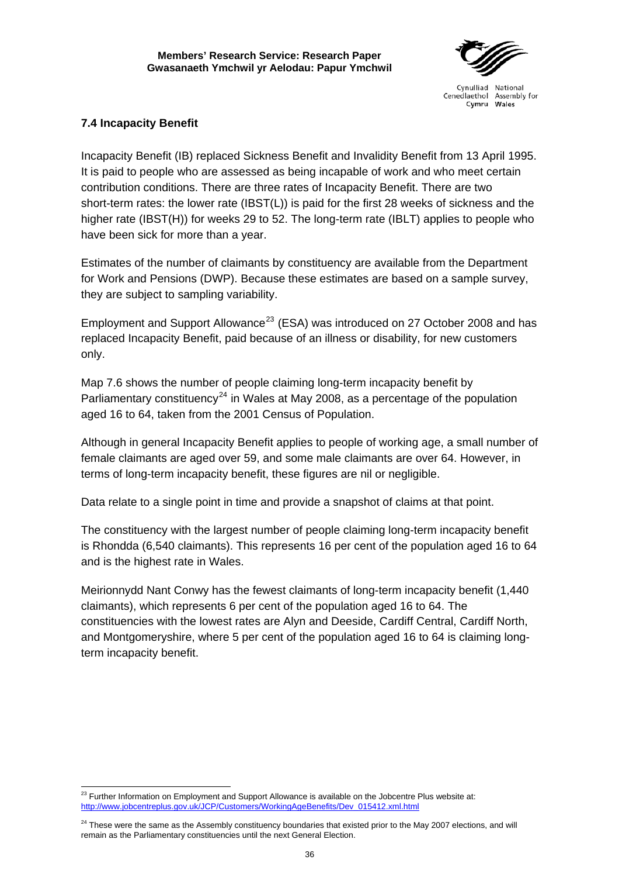

## **7.4 Incapacity Benefit**

Incapacity Benefit (IB) replaced Sickness Benefit and Invalidity Benefit from 13 April 1995. It is paid to people who are assessed as being incapable of work and who meet certain contribution conditions. There are three rates of Incapacity Benefit. There are two short-term rates: the lower rate (IBST(L)) is paid for the first 28 weeks of sickness and the higher rate (IBST(H)) for weeks 29 to 52. The long-term rate (IBLT) applies to people who have been sick for more than a year.

Estimates of the number of claimants by constituency are available from the Department for Work and Pensions (DWP). Because these estimates are based on a sample survey, they are subject to sampling variability.

Employment and Support Allowance<sup>[23](#page-41-0)</sup> (ESA) was introduced on 27 October 2008 and has replaced Incapacity Benefit, paid because of an illness or disability, for new customers only.

Map 7.6 shows the number of people claiming long-term incapacity benefit by Parliamentary constituency<sup>[24](#page-41-1)</sup> in Wales at May 2008, as a percentage of the population aged 16 to 64, taken from the 2001 Census of Population.

Although in general Incapacity Benefit applies to people of working age, a small number of female claimants are aged over 59, and some male claimants are over 64. However, in terms of long-term incapacity benefit, these figures are nil or negligible.

Data relate to a single point in time and provide a snapshot of claims at that point.

The constituency with the largest number of people claiming long-term incapacity benefit is Rhondda (6,540 claimants). This represents 16 per cent of the population aged 16 to 64 and is the highest rate in Wales.

Meirionnydd Nant Conwy has the fewest claimants of long-term incapacity benefit (1,440 claimants), which represents 6 per cent of the population aged 16 to 64. The constituencies with the lowest rates are Alyn and Deeside, Cardiff Central, Cardiff North, and Montgomeryshire, where 5 per cent of the population aged 16 to 64 is claiming longterm incapacity benefit.

<span id="page-41-0"></span> $^{23}$  Further Information on Employment and Support Allowance is available on the Jobcentre Plus website at: [http://www.jobcentreplus.gov.uk/JCP/Customers/WorkingAgeBenefits/Dev\\_015412.xml.html](http://www.jobcentreplus.gov.uk/JCP/Customers/WorkingAgeBenefits/Dev_015412.xml.html)

<span id="page-41-1"></span><sup>&</sup>lt;sup>24</sup> These were the same as the Assembly constituency boundaries that existed prior to the May 2007 elections, and will remain as the Parliamentary constituencies until the next General Election.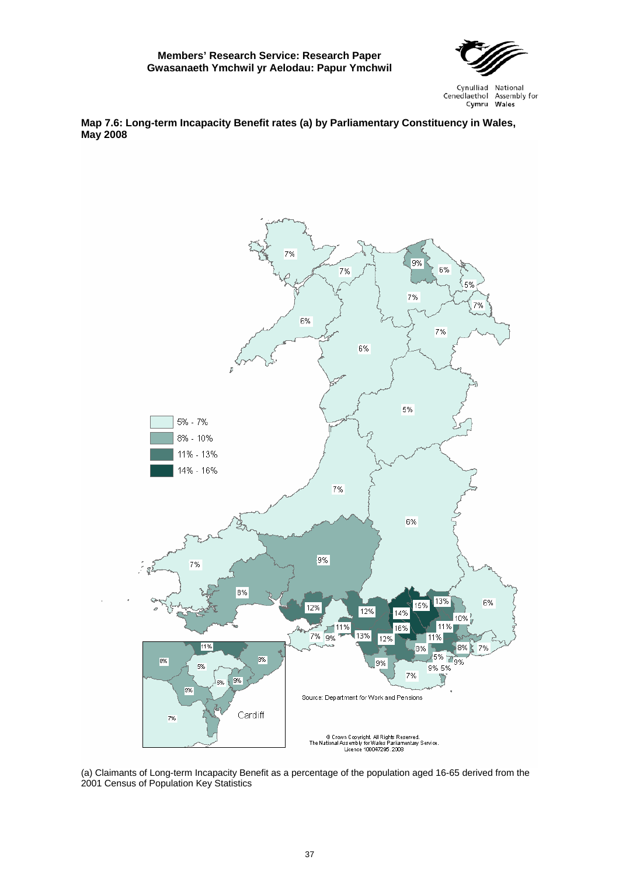

Cynulliad National Cenedlaethol Assembly for Wales Cymru

<span id="page-42-0"></span>**Map 7.6: Long-term Incapacity Benefit rates (a) by Parliamentary Constituency in Wales, May 2008** 



(a) Claimants of Long-term Incapacity Benefit as a percentage of the population aged 16-65 derived from the 2001 Census of Population Key Statistics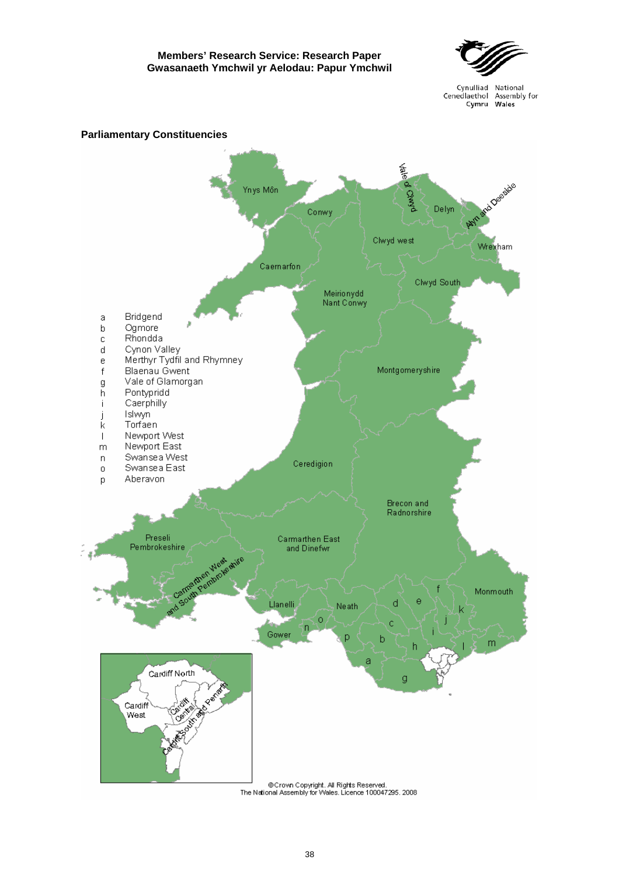

Cynulliad National Cenedlaethol Assembly for Cymru Wales

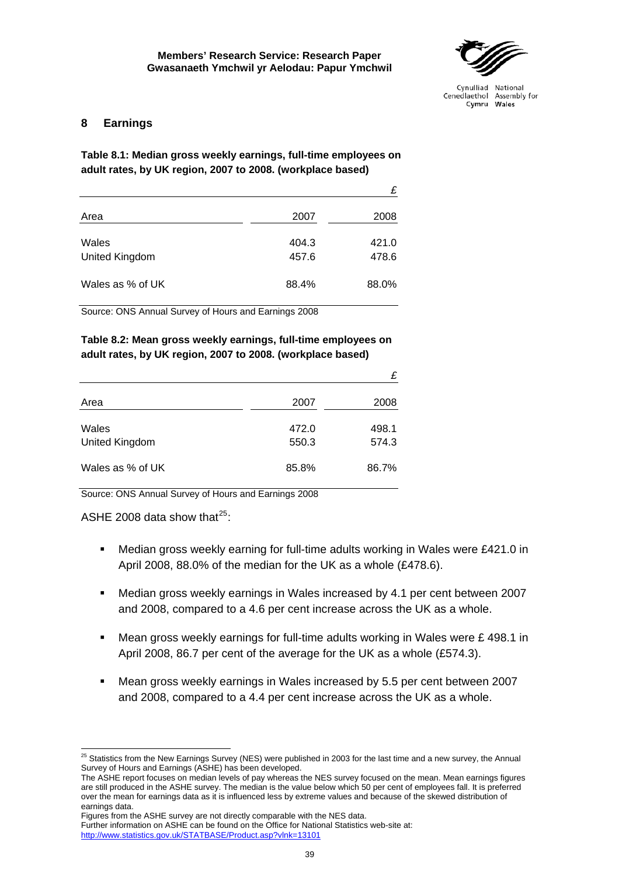

### <span id="page-44-0"></span>**8 Earnings**

**Table 8.1: Median gross weekly earnings, full-time employees on adult rates, by UK region, 2007 to 2008. (workplace based)** 

|                         |                | £              |
|-------------------------|----------------|----------------|
| Area                    | 2007           | 2008           |
| Wales<br>United Kingdom | 404.3<br>457.6 | 421.0<br>478.6 |
| Wales as % of UK        | 88.4%          | 88.0%          |

Source: ONS Annual Survey of Hours and Earnings 2008

## **Table 8.2: Mean gross weekly earnings, full-time employees on adult rates, by UK region, 2007 to 2008. (workplace based)**

|                         |                | £              |
|-------------------------|----------------|----------------|
| Area                    | 2007           | 2008           |
| Wales<br>United Kingdom | 472.0<br>550.3 | 498.1<br>574.3 |
| Wales as % of UK        | 85.8%          | 86.7%          |

Source: ONS Annual Survey of Hours and Earnings 2008

ASHE 2008 data show that $^{25}$  $^{25}$  $^{25}$ :

- Median gross weekly earning for full-time adults working in Wales were £421.0 in April 2008, 88.0% of the median for the UK as a whole (£478.6).
- Median gross weekly earnings in Wales increased by 4.1 per cent between 2007 and 2008, compared to a 4.6 per cent increase across the UK as a whole.
- **Mean gross weekly earnings for full-time adults working in Wales were**  $E$  **498.1 in** April 2008, 86.7 per cent of the average for the UK as a whole (£574.3).
- Mean gross weekly earnings in Wales increased by 5.5 per cent between 2007 and 2008, compared to a 4.4 per cent increase across the UK as a whole.

<span id="page-44-1"></span>  $^{25}$  Statistics from the New Earnings Survey (NES) were published in 2003 for the last time and a new survey, the Annual Survey of Hours and Earnings (ASHE) has been developed.

The ASHE report focuses on median levels of pay whereas the NES survey focused on the mean. Mean earnings figures are still produced in the ASHE survey. The median is the value below which 50 per cent of employees fall. It is preferred over the mean for earnings data as it is influenced less by extreme values and because of the skewed distribution of earnings data.

Figures from the ASHE survey are not directly comparable with the NES data. Further information on ASHE can be found on the Office for National Statistics web-site at: <http://www.statistics.gov.uk/STATBASE/Product.asp?vlnk=13101>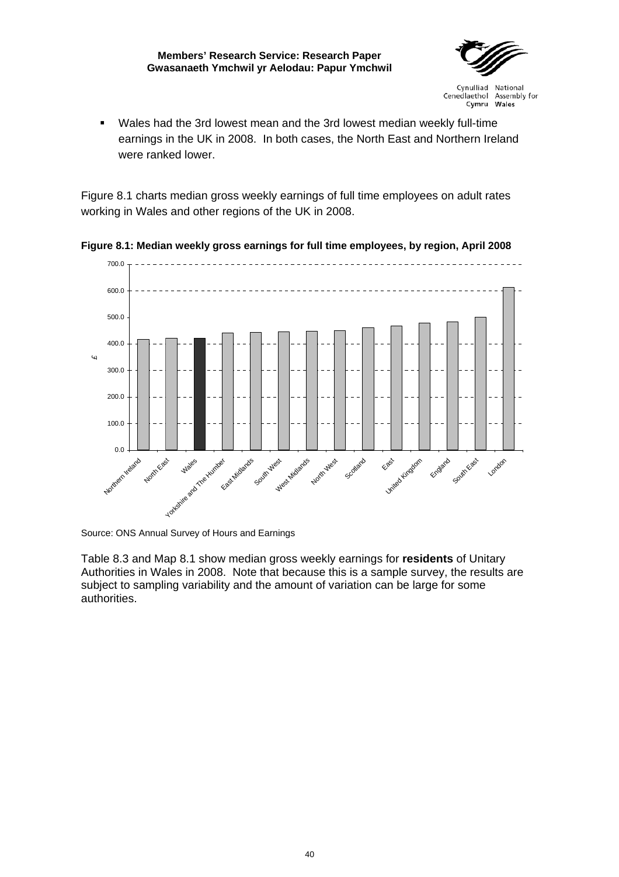

<span id="page-45-0"></span> Wales had the 3rd lowest mean and the 3rd lowest median weekly full-time earnings in the UK in 2008. In both cases, the North East and Northern Ireland were ranked lower.

Figure 8.1 charts median gross weekly earnings of full time employees on adult rates working in Wales and other regions of the UK in 2008.



**Figure 8.1: Median weekly gross earnings for full time employees, by region, April 2008** 

Source: ONS Annual Survey of Hours and Earnings

Table 8.3 and Map 8.1 show median gross weekly earnings for **residents** of Unitary Authorities in Wales in 2008. Note that because this is a sample survey, the results are subject to sampling variability and the amount of variation can be large for some authorities.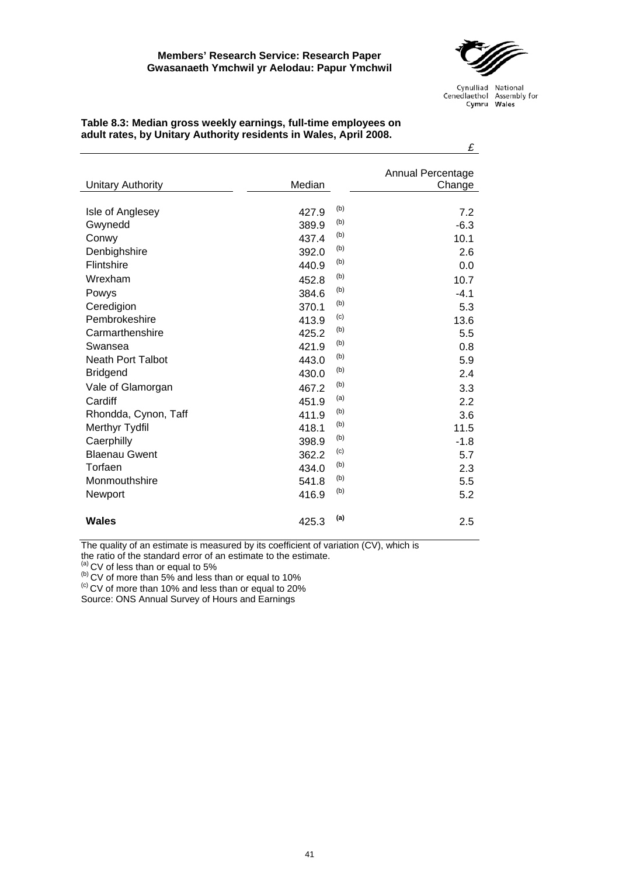

|                          |        |            | £                           |
|--------------------------|--------|------------|-----------------------------|
| <b>Unitary Authority</b> | Median |            | Annual Percentage<br>Change |
| Isle of Anglesey         | 427.9  | (b)        | 7.2                         |
| Gwynedd                  | 389.9  | (b)        | $-6.3$                      |
| Conwy                    | 437.4  | (b)        | 10.1                        |
| Denbighshire             | 392.0  | (b)        | 2.6                         |
| Flintshire               | 440.9  | (b)        | 0.0                         |
| Wrexham                  | 452.8  | (b)        | 10.7                        |
| Powys                    | 384.6  | (b)        | $-4.1$                      |
| Ceredigion               | 370.1  | (b)        | 5.3                         |
| Pembrokeshire            | 413.9  | (c)        | 13.6                        |
| Carmarthenshire          | 425.2  | (b)<br>(b) | 5.5                         |
| Swansea                  | 421.9  | (b)        | 0.8                         |
| Neath Port Talbot        | 443.0  |            | 5.9                         |
| <b>Bridgend</b>          | 430.0  | (b)        | 2.4                         |
| Vale of Glamorgan        | 467.2  | (b)        | 3.3                         |
| Cardiff                  | 451.9  | (a)        | 2.2                         |
| Rhondda, Cynon, Taff     | 411.9  | (b)        | 3.6                         |
| Merthyr Tydfil           | 418.1  | (b)<br>(b) | 11.5                        |
| Caerphilly               | 398.9  | (c)        | $-1.8$                      |
| <b>Blaenau Gwent</b>     | 362.2  |            | 5.7                         |
| Torfaen                  | 434.0  | (b)        | 2.3                         |
| Monmouthshire            | 541.8  | (b)        | 5.5                         |
| Newport                  | 416.9  | (b)        | 5.2                         |
| Wales                    | 425.3  | (a)        | 2.5                         |

<span id="page-46-0"></span>**Table 8.3: Median gross weekly earnings, full-time employees on adult rates, by Unitary Authority residents in Wales, April 2008.** 

The quality of an estimate is measured by its coefficient of variation (CV), which is

the ratio of the standard error of an estimate to the estimate.

(b) CV of more than 5% and less than or equal to 10% (c) CV of more than 10% and less than or equal to 20%

Source: ONS Annual Survey of Hours and Earnings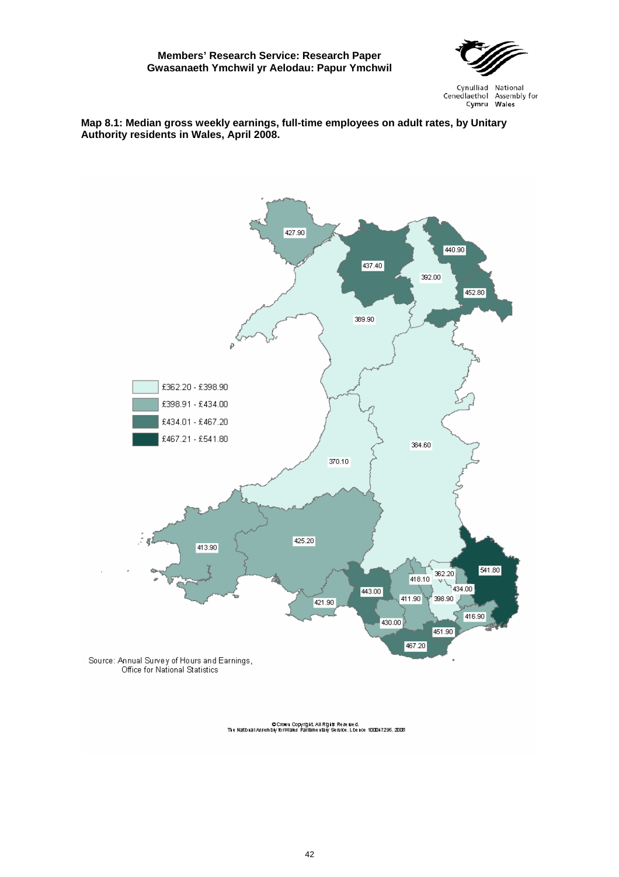

Cynulliad National Cenedlaethol Assembly for Cymru Wales

#### <span id="page-47-0"></span>**Map 8.1: Median gross weekly earnings, full-time employees on adult rates, by Unitary Authority residents in Wales, April 2008.**

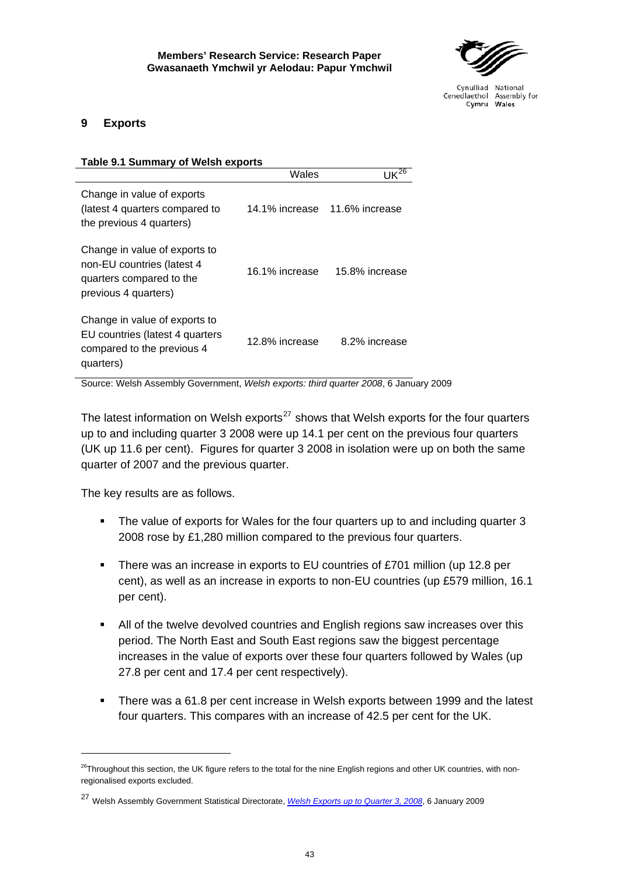

## <span id="page-48-0"></span>**9 Exports**

| <b>Table 9.1 Summary of Welsh exports</b>                                                                       |                |                |  |  |
|-----------------------------------------------------------------------------------------------------------------|----------------|----------------|--|--|
|                                                                                                                 | Wales          | $UK^{26}$      |  |  |
| Change in value of exports<br>(latest 4 quarters compared to<br>the previous 4 quarters)                        | 14.1% increase | 11.6% increase |  |  |
| Change in value of exports to<br>non-EU countries (latest 4<br>quarters compared to the<br>previous 4 quarters) | 16.1% increase | 15.8% increase |  |  |
| Change in value of exports to<br>EU countries (latest 4 quarters<br>compared to the previous 4<br>quarters)     | 12.8% increase | 8.2% increase  |  |  |

Source: Welsh Assembly Government, *Welsh exports: third quarter 2008*, 6 January 2009

The latest information on Welsh exports<sup>[27](#page-48-2)</sup> shows that Welsh exports for the four quarters up to and including quarter 3 2008 were up 14.1 per cent on the previous four quarters (UK up 11.6 per cent). Figures for quarter 3 2008 in isolation were up on both the same quarter of 2007 and the previous quarter.

The key results are as follows.

- The value of exports for Wales for the four quarters up to and including quarter 3 2008 rose by £1,280 million compared to the previous four quarters.
- There was an increase in exports to EU countries of £701 million (up 12.8 per cent), as well as an increase in exports to non-EU countries (up £579 million, 16.1 per cent).
- All of the twelve devolved countries and English regions saw increases over this period. The North East and South East regions saw the biggest percentage increases in the value of exports over these four quarters followed by Wales (up 27.8 per cent and 17.4 per cent respectively).
- There was a 61.8 per cent increase in Welsh exports between 1999 and the latest four quarters. This compares with an increase of 42.5 per cent for the UK.

<span id="page-48-1"></span> $26$ Throughout this section, the UK figure refers to the total for the nine English regions and other UK countries, with nonregionalised exports excluded.

<span id="page-48-2"></span><sup>27</sup> Welsh Assembly Government Statistical Directorate, *[Welsh Exports up to Quarter 3, 2008](http://wales.gov.uk/docs/statistics/2009/090106sb12009en.pdf?lang=en)*, 6 January 2009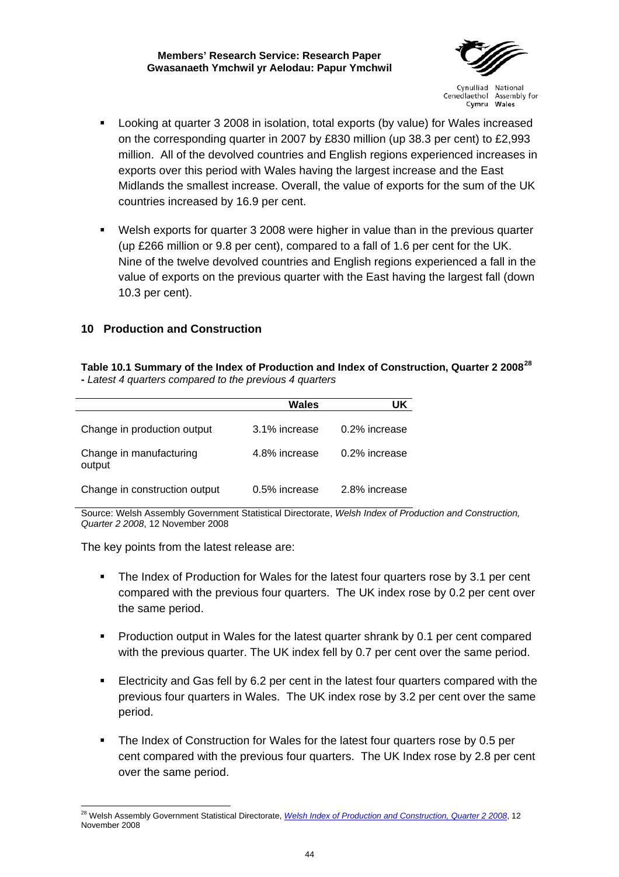

Cynulliad National Cenedlaethol Assembly for Cymru Wales

- <span id="page-49-0"></span> Looking at quarter 3 2008 in isolation, total exports (by value) for Wales increased on the corresponding quarter in 2007 by £830 million (up 38.3 per cent) to £2,993 million. All of the devolved countries and English regions experienced increases in exports over this period with Wales having the largest increase and the East Midlands the smallest increase. Overall, the value of exports for the sum of the UK countries increased by 16.9 per cent.
- Welsh exports for quarter 3 2008 were higher in value than in the previous quarter (up £266 million or 9.8 per cent), compared to a fall of 1.6 per cent for the UK. Nine of the twelve devolved countries and English regions experienced a fall in the value of exports on the previous quarter with the East having the largest fall (down 10.3 per cent).

## **10 Production and Construction**

**Table 10.1 Summary of the Index of Production and Index of Construction, Quarter 2 2008[28](#page-49-1) -** *Latest 4 quarters compared to the previous 4 quarters*

|                                   | Wales         | UK            |
|-----------------------------------|---------------|---------------|
| Change in production output       | 3.1% increase | 0.2% increase |
| Change in manufacturing<br>output | 4.8% increase | 0.2% increase |
| Change in construction output     | 0.5% increase | 2.8% increase |

Source: Welsh Assembly Government Statistical Directorate, *Welsh Index of Production and Construction, Quarter 2 2008*, 12 November 2008

The key points from the latest release are:

- The Index of Production for Wales for the latest four quarters rose by 3.1 per cent compared with the previous four quarters. The UK index rose by 0.2 per cent over the same period.
- Production output in Wales for the latest quarter shrank by 0.1 per cent compared with the previous quarter. The UK index fell by 0.7 per cent over the same period.
- Electricity and Gas fell by 6.2 per cent in the latest four quarters compared with the previous four quarters in Wales. The UK index rose by 3.2 per cent over the same period.
- The Index of Construction for Wales for the latest four quarters rose by 0.5 per cent compared with the previous four quarters. The UK Index rose by 2.8 per cent over the same period.

<span id="page-49-1"></span> <sup>28</sup> Welsh Assembly Government Statistical Directorate, *[Welsh Index of Production and Construction, Quarter 2 2008](http://wales.gov.uk/topics/statistics/headlines/econ2008/hdw200811122/?lang=en)*, 12 November 2008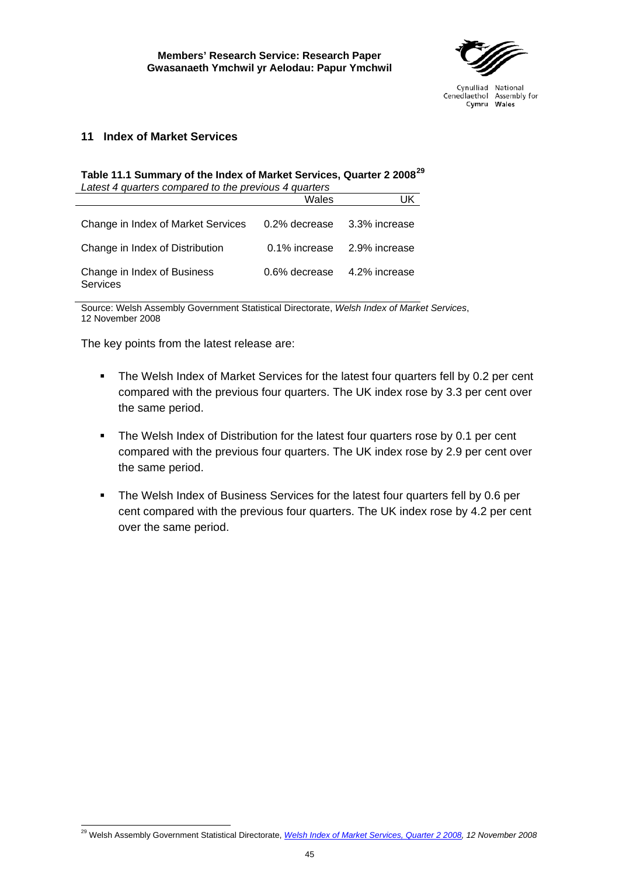

## <span id="page-50-0"></span>**11 Index of Market Services**

#### **Table 11.1 Summary of the Index of Market Services, Quarter 2 2008[29](#page-50-1)** *Latest 4 quarters compared to the previous 4 quarters*

| Latest + gaarters compared to the previous + gaarters |               |               |  |  |
|-------------------------------------------------------|---------------|---------------|--|--|
|                                                       | Wales         | UK            |  |  |
| Change in Index of Market Services                    | 0.2% decrease | 3.3% increase |  |  |
| Change in Index of Distribution                       | 0.1% increase | 2.9% increase |  |  |
| Change in Index of Business<br>Services               | 0.6% decrease | 4.2% increase |  |  |

Source: Welsh Assembly Government Statistical Directorate, *Welsh Index of Market Services*, 12 November 2008

The key points from the latest release are:

- The Welsh Index of Market Services for the latest four quarters fell by 0.2 per cent compared with the previous four quarters. The UK index rose by 3.3 per cent over the same period.
- The Welsh Index of Distribution for the latest four quarters rose by 0.1 per cent compared with the previous four quarters. The UK index rose by 2.9 per cent over the same period.
- **The Welsh Index of Business Services for the latest four quarters fell by 0.6 per** cent compared with the previous four quarters. The UK index rose by 4.2 per cent over the same period.

<span id="page-50-1"></span><sup>29</sup> Welsh Assembly Government Statistical Directorate, *[Welsh Index of Market Services, Quarter 2 2008,](http://wales.gov.uk/topics/statistics/headlines/econ2008/hdw20080703/?lang=en) 12 November 2008*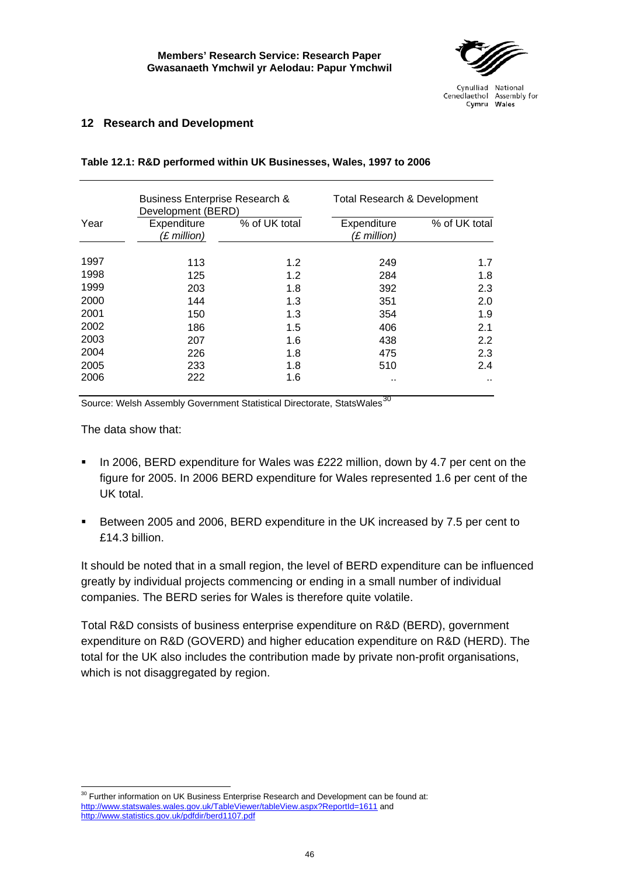

## <span id="page-51-0"></span>**12 Research and Development**

|                                                     | <b>Business Enterprise Research &amp;</b><br>Development (BERD) |                                               | <b>Total Research &amp; Development</b> |                      |  |
|-----------------------------------------------------|-----------------------------------------------------------------|-----------------------------------------------|-----------------------------------------|----------------------|--|
| % of UK total<br>Year<br>Expenditure<br>(£ million) |                                                                 | % of UK total<br>Expenditure<br>$(E$ million) |                                         |                      |  |
| 1997                                                | 113                                                             | 1.2                                           | 249                                     | 1.7                  |  |
| 1998                                                | 125                                                             | 1.2                                           | 284                                     | 1.8                  |  |
| 1999                                                | 203                                                             | 1.8                                           | 392                                     | 2.3                  |  |
| 2000                                                | 144                                                             | 1.3                                           | 351                                     | 2.0                  |  |
| 2001                                                | 150                                                             | 1.3                                           | 354                                     | 1.9                  |  |
| 2002                                                | 186                                                             | 1.5                                           | 406                                     | 2.1                  |  |
| 2003                                                | 207                                                             | 1.6                                           | 438                                     | $2.2\phantom{0}$     |  |
| 2004                                                | 226                                                             | 1.8                                           | 475                                     | 2.3                  |  |
| 2005                                                | 233                                                             | 1.8                                           | 510                                     | 2.4                  |  |
| 2006                                                | 222                                                             | 1.6                                           | . .                                     | $\ddot{\phantom{a}}$ |  |

#### **Table 12.1: R&D performed within UK Businesses, Wales, 1997 to 2006**

Source: Welsh Assembly Government Statistical Directorate, StatsWales<sup>[30](#page-51-1)</sup>

The data show that:

- In 2006, BERD expenditure for Wales was £222 million, down by 4.7 per cent on the figure for 2005. In 2006 BERD expenditure for Wales represented 1.6 per cent of the UK total.
- Between 2005 and 2006, BERD expenditure in the UK increased by 7.5 per cent to £14.3 billion.

It should be noted that in a small region, the level of BERD expenditure can be influenced greatly by individual projects commencing or ending in a small number of individual companies. The BERD series for Wales is therefore quite volatile.

Total R&D consists of business enterprise expenditure on R&D (BERD), government expenditure on R&D (GOVERD) and higher education expenditure on R&D (HERD). The total for the UK also includes the contribution made by private non-profit organisations, which is not disaggregated by region.

<span id="page-51-1"></span>  $30$  Further information on UK Business Enterprise Research and Development can be found at: <http://www.statswales.wales.gov.uk/TableViewer/tableView.aspx?ReportId=1611>and <http://www.statistics.gov.uk/pdfdir/berd1107.pdf>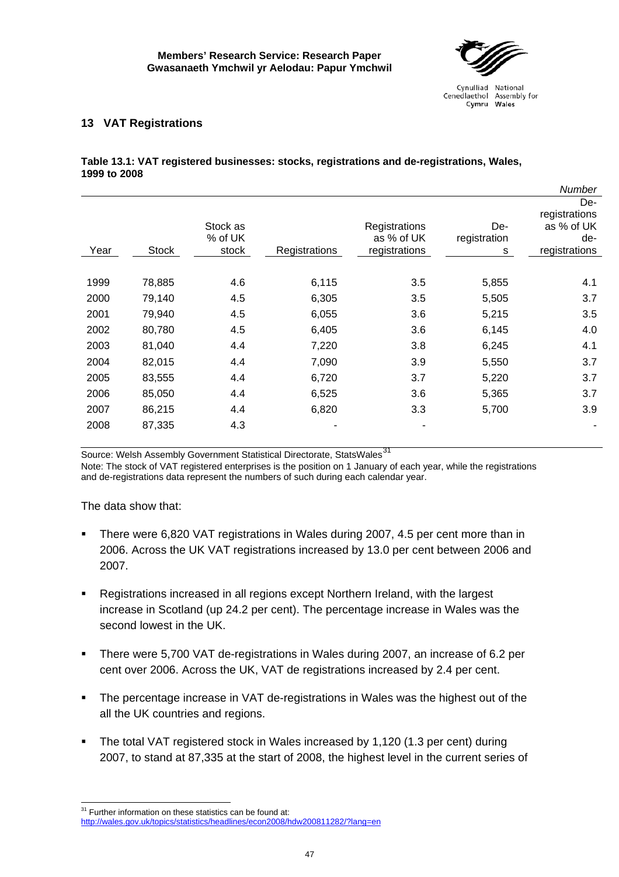

## <span id="page-52-0"></span>**13 VAT Registrations**

#### **Table 13.1: VAT registered businesses: stocks, registrations and de-registrations, Wales, 1999 to 2008**

|      |              |                     |               |                             |                     | Number                                    |
|------|--------------|---------------------|---------------|-----------------------------|---------------------|-------------------------------------------|
|      |              | Stock as<br>% of UK |               | Registrations<br>as % of UK | De-<br>registration | De-<br>registrations<br>as % of UK<br>de- |
| Year | <b>Stock</b> | stock               | Registrations | registrations               | s                   | registrations                             |
|      |              |                     |               |                             |                     |                                           |
| 1999 | 78,885       | 4.6                 | 6,115         | 3.5                         | 5,855               | 4.1                                       |
| 2000 | 79,140       | 4.5                 | 6,305         | 3.5                         | 5,505               | 3.7                                       |
| 2001 | 79,940       | 4.5                 | 6,055         | 3.6                         | 5,215               | 3.5                                       |
| 2002 | 80,780       | 4.5                 | 6,405         | 3.6                         | 6,145               | 4.0                                       |
| 2003 | 81,040       | 4.4                 | 7,220         | 3.8                         | 6,245               | 4.1                                       |
| 2004 | 82,015       | 4.4                 | 7,090         | 3.9                         | 5,550               | 3.7                                       |
| 2005 | 83,555       | 4.4                 | 6,720         | 3.7                         | 5,220               | 3.7                                       |
| 2006 | 85,050       | 4.4                 | 6,525         | 3.6                         | 5,365               | 3.7                                       |
| 2007 | 86,215       | 4.4                 | 6,820         | 3.3                         | 5,700               | 3.9                                       |
| 2008 | 87,335       | 4.3                 |               | ۰                           |                     |                                           |

Source: Welsh Assembly Government Statistical Directorate, StatsWales<sup>[31](#page-52-1)</sup>

Note: The stock of VAT registered enterprises is the position on 1 January of each year, while the registrations and de-registrations data represent the numbers of such during each calendar year.

The data show that:

 $\overline{a}$ 

- There were 6,820 VAT registrations in Wales during 2007, 4.5 per cent more than in 2006. Across the UK VAT registrations increased by 13.0 per cent between 2006 and 2007.
- Registrations increased in all regions except Northern Ireland, with the largest increase in Scotland (up 24.2 per cent). The percentage increase in Wales was the second lowest in the UK.
- There were 5,700 VAT de-registrations in Wales during 2007, an increase of 6.2 per cent over 2006. Across the UK, VAT de registrations increased by 2.4 per cent.
- The percentage increase in VAT de-registrations in Wales was the highest out of the all the UK countries and regions.
- The total VAT registered stock in Wales increased by 1,120 (1.3 per cent) during 2007, to stand at 87,335 at the start of 2008, the highest level in the current series of

<span id="page-52-1"></span> $31$  Further information on these statistics can be found at: <http://wales.gov.uk/topics/statistics/headlines/econ2008/hdw200811282/?lang=en>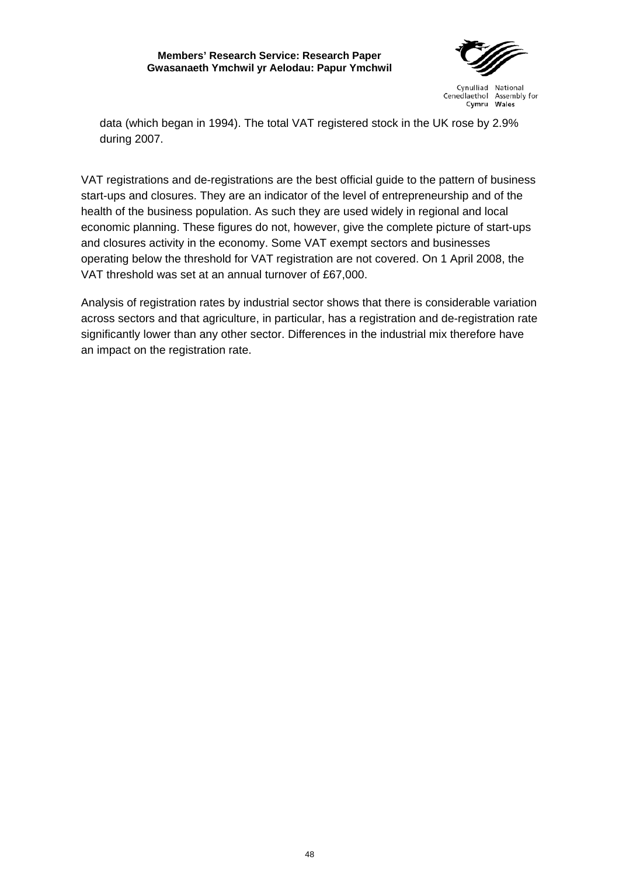

Cynulliad National Cenedlaethol Assembly for Cymru Wales

data (which began in 1994). The total VAT registered stock in the UK rose by 2.9% during 2007.

VAT registrations and de-registrations are the best official guide to the pattern of business start-ups and closures. They are an indicator of the level of entrepreneurship and of the health of the business population. As such they are used widely in regional and local economic planning. These figures do not, however, give the complete picture of start-ups and closures activity in the economy. Some VAT exempt sectors and businesses operating below the threshold for VAT registration are not covered. On 1 April 2008, the VAT threshold was set at an annual turnover of £67,000.

Analysis of registration rates by industrial sector shows that there is considerable variation across sectors and that agriculture, in particular, has a registration and de-registration rate significantly lower than any other sector. Differences in the industrial mix therefore have an impact on the registration rate.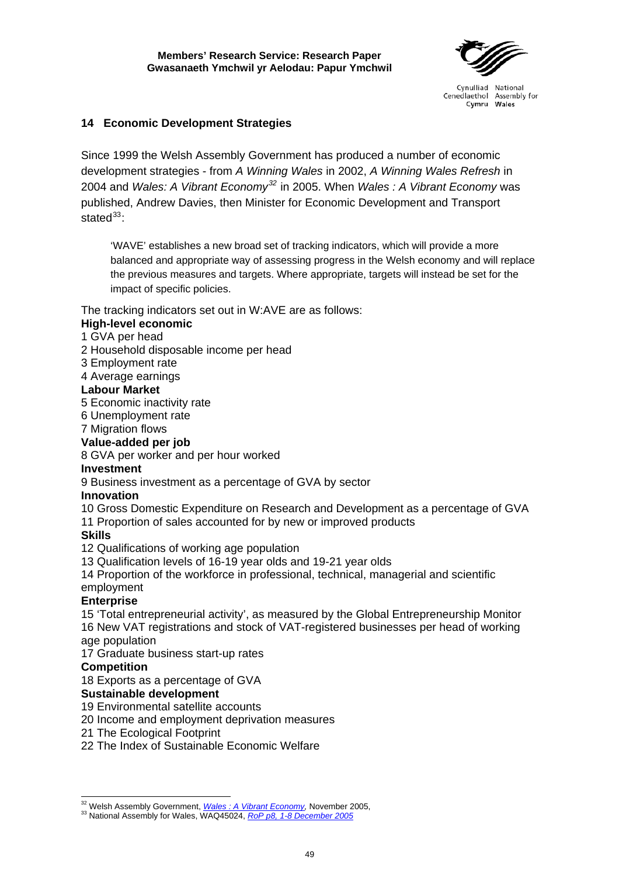

## <span id="page-54-0"></span>**14 Economic Development Strategies**

Since 1999 the Welsh Assembly Government has produced a number of economic development strategies - from *A Winning Wales* in 2002, *A Winning Wales Refresh* in 2004 and *Wales: A Vibrant Economy[32](#page-54-1)* in 2005. When *Wales : A Vibrant Economy* was published, Andrew Davies, then Minister for Economic Development and Transport state $d^{33}$  $d^{33}$  $d^{33}$ 

'WAVE' establishes a new broad set of tracking indicators, which will provide a more balanced and appropriate way of assessing progress in the Welsh economy and will replace the previous measures and targets. Where appropriate, targets will instead be set for the impact of specific policies.

## The tracking indicators set out in W:AVE are as follows:

## **High-level economic**

- 1 GVA per head
- 2 Household disposable income per head
- 3 Employment rate
- 4 Average earnings

## **Labour Market**

- 5 Economic inactivity rate
- 6 Unemployment rate
- 7 Migration flows

## **Value-added per job**

8 GVA per worker and per hour worked

### **Investment**

9 Business investment as a percentage of GVA by sector

### **Innovation**

- 10 Gross Domestic Expenditure on Research and Development as a percentage of GVA
- 11 Proportion of sales accounted for by new or improved products

### **Skills**

- 12 Qualifications of working age population
- 13 Qualification levels of 16-19 year olds and 19-21 year olds

14 Proportion of the workforce in professional, technical, managerial and scientific employment

## **Enterprise**

15 'Total entrepreneurial activity', as measured by the Global Entrepreneurship Monitor 16 New VAT registrations and stock of VAT-registered businesses per head of working age population

17 Graduate business start-up rates

## **Competition**

18 Exports as a percentage of GVA

## **Sustainable development**

- 19 Environmental satellite accounts
- 20 Income and employment deprivation measures
- 21 The Ecological Footprint
- 22 The Index of Sustainable Economic Welfare

<span id="page-54-1"></span><sup>&</sup>lt;sup>32</sup> Welsh Assembly Government, *Wales: A Vibrant Economy*, November 2005,

<span id="page-54-2"></span><sup>33</sup> National Assembly for Wales, [WAQ45024,](http://new.wales.gov.uk/about/strategy/publications/business/935778/?lang=en) *RoP p8, 1-8 December 2005*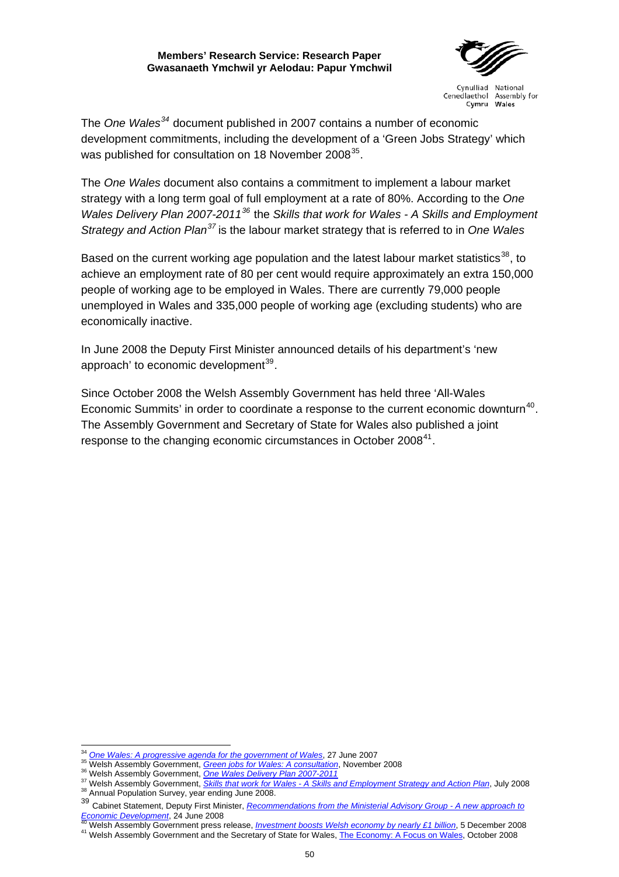

Cynulliad National Cenedlaethol Assembly for Cymru Wales

The *One Wales[34](#page-55-0)* document published in 2007 contains a number of economic development commitments, including the development of a 'Green Jobs Strategy' which was published for consultation on 18 November 2008<sup>[35](#page-55-1)</sup>.

The *One Wales* document also contains a commitment to implement a labour market strategy with a long term goal of full employment at a rate of 80%. According to the *One Wales Delivery Plan 2007-2011[36](#page-55-2)* the *Skills that work for Wales - A Skills and Employment Strategy and Action Plan[37](#page-55-3)* is the labour market strategy that is referred to in *One Wales*

Based on the current working age population and the latest labour market statistics<sup>[38](#page-55-4)</sup>, to achieve an employment rate of 80 per cent would require approximately an extra 150,000 people of working age to be employed in Wales. There are currently 79,000 people unemployed in Wales and 335,000 people of working age (excluding students) who are economically inactive.

In June 2008 the Deputy First Minister announced details of his department's 'new approach' to economic development $39$ .

Since October 2008 the Welsh Assembly Government has held three 'All-Wales Economic Summits' in order to coordinate a response to the current economic downturn<sup>[40](#page-55-6)</sup>. The Assembly Government and Secretary of State for Wales also published a joint response to the changing economic circumstances in October 2008<sup>[41](#page-55-7)</sup>.

<sup>&</sup>lt;sup>34</sup> One Wales: A progressive agenda for the government of Wales, 27 June 2007

<span id="page-55-2"></span><span id="page-55-1"></span><span id="page-55-0"></span><sup>&</sup>lt;sup>35</sup>Welsh Assembly Government[,](http://new.wales.gov.uk/dcells/publications/policy_strategy_and_planning/skillsthatworkforwales/stwfwenglisg.pdf?lang=en) *Green jobs for Wales: A consultation*, November 2008<br><sup>36</sup> Welsh Assembly Government, *Green jobs for Wales: A consultation*, November 2008<br><sup>37</sup> Welsh Assembly Government, *Skills that work* 

<span id="page-55-5"></span><span id="page-55-4"></span><span id="page-55-3"></span><sup>&</sup>lt;sup>39</sup> Cabinet Statement, Deputy First Minister, *Recommendations from the Ministerial Advisory Group - A new approach to*  $\frac{E_{\text{conomic Development}}}{49 \text{ Mohb} \text{ A ocean}}$  Crusters of the analysis of the *Aliment*, 24 June 2008

<span id="page-55-7"></span><span id="page-55-6"></span><sup>&</sup>lt;sup>40</sup> Welsh Assembly Government press release, *Investment boosts Welsh economy by nearly £1 billion*[, 5](http://www.walesoffice.gov.uk/wp-content/uploads/2008/10/the-economy-a-focus-on-wales.pdf) December 2008<br><sup>41</sup> Welsh Assembly Government and the Secretary of State for Wales, [The Economy: A Focus on Wales,](http://www.walesoffice.gov.uk/wp-content/uploads/2008/10/the-economy-a-focus-on-wales.pdf) Octo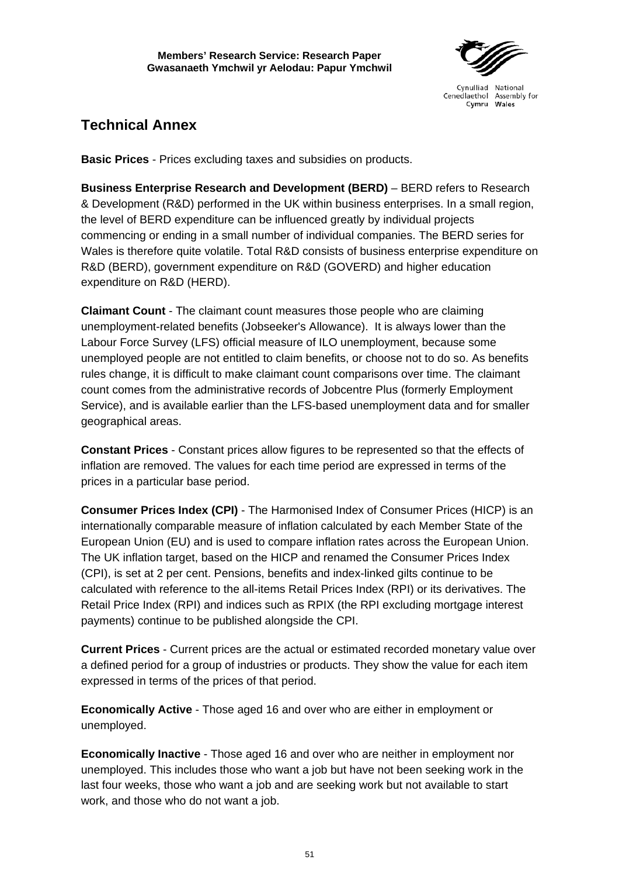

## <span id="page-56-0"></span>**Technical Annex**

**Basic Prices** - Prices excluding taxes and subsidies on products.

**Business Enterprise Research and Development (BERD)** – BERD refers to Research & Development (R&D) performed in the UK within business enterprises. In a small region, the level of BERD expenditure can be influenced greatly by individual projects commencing or ending in a small number of individual companies. The BERD series for Wales is therefore quite volatile. Total R&D consists of business enterprise expenditure on R&D (BERD), government expenditure on R&D (GOVERD) and higher education expenditure on R&D (HERD).

**Claimant Count** - The claimant count measures those people who are claiming unemployment-related benefits (Jobseeker's Allowance). It is always lower than the Labour Force Survey (LFS) official measure of ILO unemployment, because some unemployed people are not entitled to claim benefits, or choose not to do so. As benefits rules change, it is difficult to make claimant count comparisons over time. The claimant count comes from the administrative records of Jobcentre Plus (formerly Employment Service), and is available earlier than the LFS-based unemployment data and for smaller geographical areas.

**Constant Prices** - Constant prices allow figures to be represented so that the effects of inflation are removed. The values for each time period are expressed in terms of the prices in a particular base period.

**Consumer Prices Index (CPI)** - The Harmonised Index of Consumer Prices (HICP) is an internationally comparable measure of inflation calculated by each Member State of the European Union (EU) and is used to compare inflation rates across the European Union. The UK inflation target, based on the HICP and renamed the Consumer Prices Index (CPI), is set at 2 per cent. Pensions, benefits and index-linked gilts continue to be calculated with reference to the all-items Retail Prices Index (RPI) or its derivatives. The Retail Price Index (RPI) and indices such as RPIX (the RPI excluding mortgage interest payments) continue to be published alongside the CPI.

**Current Prices** - Current prices are the actual or estimated recorded monetary value over a defined period for a group of industries or products. They show the value for each item expressed in terms of the prices of that period.

**Economically Active** - Those aged 16 and over who are either in employment or unemployed.

**Economically Inactive** - Those aged 16 and over who are neither in employment nor unemployed. This includes those who want a job but have not been seeking work in the last four weeks, those who want a job and are seeking work but not available to start work, and those who do not want a job.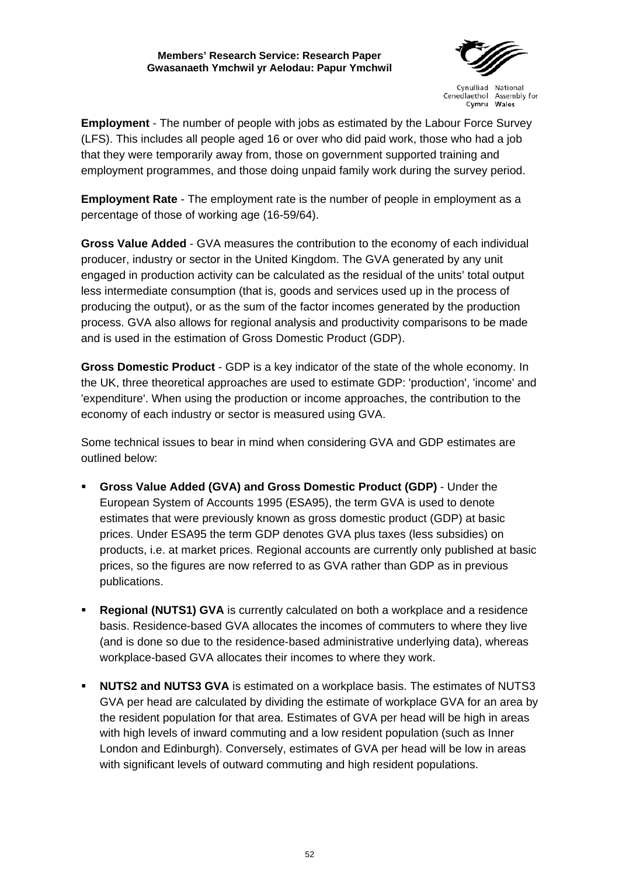

Cynulliad National Cenedlaethol Assembly for Cymru Wales

**Employment** - The number of people with jobs as estimated by the Labour Force Survey (LFS). This includes all people aged 16 or over who did paid work, those who had a job that they were temporarily away from, those on government supported training and employment programmes, and those doing unpaid family work during the survey period.

**Employment Rate** - The employment rate is the number of people in employment as a percentage of those of working age (16-59/64).

**Gross Value Added** - GVA measures the contribution to the economy of each individual producer, industry or sector in the United Kingdom. The GVA generated by any unit engaged in production activity can be calculated as the residual of the units' total output less intermediate consumption (that is, goods and services used up in the process of producing the output), or as the sum of the factor incomes generated by the production process. GVA also allows for regional analysis and productivity comparisons to be made and is used in the estimation of Gross Domestic Product (GDP).

**Gross Domestic Product** - GDP is a key indicator of the state of the whole economy. In the UK, three theoretical approaches are used to estimate GDP: 'production', 'income' and 'expenditure'. When using the production or income approaches, the contribution to the economy of each industry or sector is measured using GVA.

Some technical issues to bear in mind when considering GVA and GDP estimates are outlined below:

- **Gross Value Added (GVA) and Gross Domestic Product (GDP)**  Under the European System of Accounts 1995 (ESA95), the term GVA is used to denote estimates that were previously known as gross domestic product (GDP) at basic prices. Under ESA95 the term GDP denotes GVA plus taxes (less subsidies) on products, i.e. at market prices. Regional accounts are currently only published at basic prices, so the figures are now referred to as GVA rather than GDP as in previous publications.
- **Regional (NUTS1) GVA** is currently calculated on both a workplace and a residence basis. Residence-based GVA allocates the incomes of commuters to where they live (and is done so due to the residence-based administrative underlying data), whereas workplace-based GVA allocates their incomes to where they work.
- **NUTS2 and NUTS3 GVA** is estimated on a workplace basis. The estimates of NUTS3 GVA per head are calculated by dividing the estimate of workplace GVA for an area by the resident population for that area. Estimates of GVA per head will be high in areas with high levels of inward commuting and a low resident population (such as Inner London and Edinburgh). Conversely, estimates of GVA per head will be low in areas with significant levels of outward commuting and high resident populations.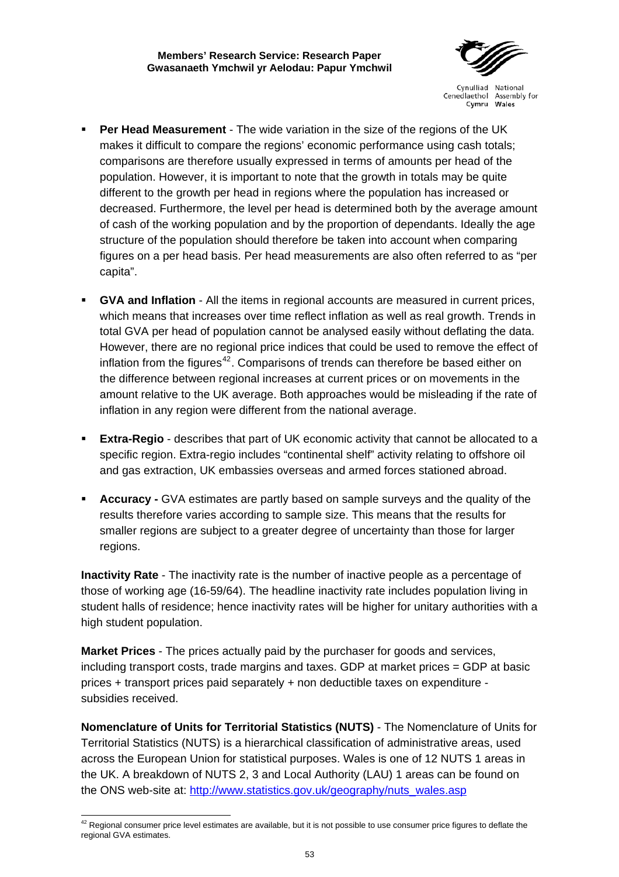

- **Per Head Measurement** The wide variation in the size of the regions of the UK makes it difficult to compare the regions' economic performance using cash totals; comparisons are therefore usually expressed in terms of amounts per head of the population. However, it is important to note that the growth in totals may be quite different to the growth per head in regions where the population has increased or decreased. Furthermore, the level per head is determined both by the average amount of cash of the working population and by the proportion of dependants. Ideally the age structure of the population should therefore be taken into account when comparing figures on a per head basis. Per head measurements are also often referred to as "per capita".
- **GVA and Inflation** All the items in regional accounts are measured in current prices, which means that increases over time reflect inflation as well as real growth. Trends in total GVA per head of population cannot be analysed easily without deflating the data. However, there are no regional price indices that could be used to remove the effect of inflation from the figures<sup>[42](#page-58-0)</sup>. Comparisons of trends can therefore be based either on the difference between regional increases at current prices or on movements in the amount relative to the UK average. Both approaches would be misleading if the rate of inflation in any region were different from the national average.
- **Extra-Regio** describes that part of UK economic activity that cannot be allocated to a specific region. Extra-regio includes "continental shelf" activity relating to offshore oil and gas extraction, UK embassies overseas and armed forces stationed abroad.
- **Accuracy -** GVA estimates are partly based on sample surveys and the quality of the results therefore varies according to sample size. This means that the results for smaller regions are subject to a greater degree of uncertainty than those for larger regions.

**Inactivity Rate** - The inactivity rate is the number of inactive people as a percentage of those of working age (16-59/64). The headline inactivity rate includes population living in student halls of residence; hence inactivity rates will be higher for unitary authorities with a high student population.

**Market Prices** - The prices actually paid by the purchaser for goods and services, including transport costs, trade margins and taxes. GDP at market prices = GDP at basic prices + transport prices paid separately + non deductible taxes on expenditure subsidies received.

**Nomenclature of Units for Territorial Statistics (NUTS)** - The Nomenclature of Units for Territorial Statistics (NUTS) is a hierarchical classification of administrative areas, used across the European Union for statistical purposes. Wales is one of 12 NUTS 1 areas in the UK. A breakdown of NUTS 2, 3 and Local Authority (LAU) 1 areas can be found on the ONS web-site at: [http://www.statistics.gov.uk/geography/nuts\\_wales.asp](http://www.statistics.gov.uk/geography/nuts_wales.asp)

<span id="page-58-0"></span> $\overline{a}$  $42$  Regional consumer price level estimates are available, but it is not possible to use consumer price figures to deflate the regional GVA estimates.